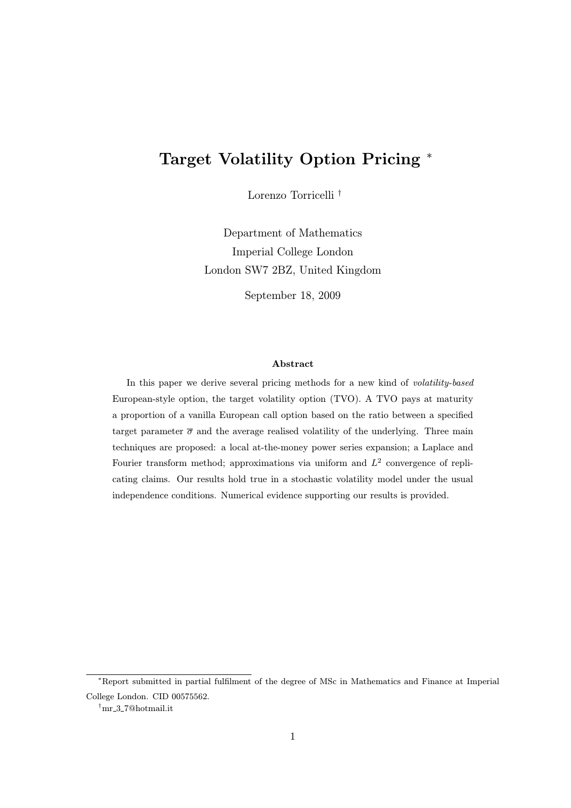# Target Volatility Option Pricing <sup>∗</sup>

Lorenzo Torricelli †

Department of Mathematics Imperial College London London SW7 2BZ, United Kingdom

September 18, 2009

#### Abstract

In this paper we derive several pricing methods for a new kind of volatility-based European-style option, the target volatility option (TVO). A TVO pays at maturity a proportion of a vanilla European call option based on the ratio between a specified target parameter  $\bar{\sigma}$  and the average realised volatility of the underlying. Three main techniques are proposed: a local at-the-money power series expansion; a Laplace and Fourier transform method; approximations via uniform and  $L^2$  convergence of replicating claims. Our results hold true in a stochastic volatility model under the usual independence conditions. Numerical evidence supporting our results is provided.

<sup>∗</sup>Report submitted in partial fulfilment of the degree of MSc in Mathematics and Finance at Imperial College London. CID 00575562.

<sup>†</sup>mr 3 7@hotmail.it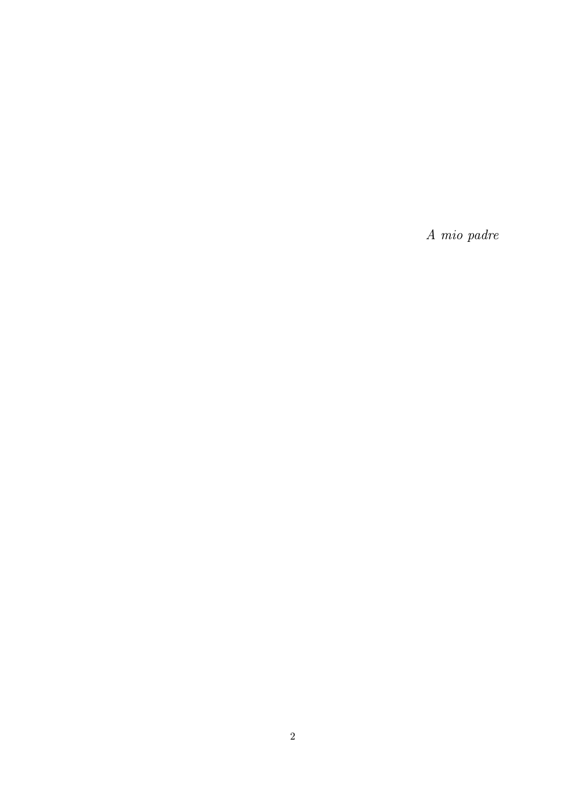A mio padre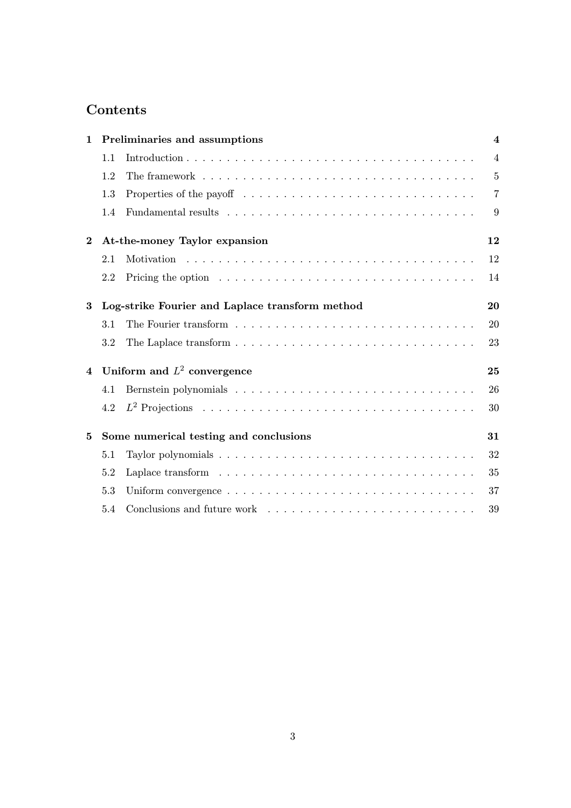# Contents

| $\mathbf{1}$            | Preliminaries and assumptions                   |                                                                                               |                |  |  |  |  |
|-------------------------|-------------------------------------------------|-----------------------------------------------------------------------------------------------|----------------|--|--|--|--|
|                         | 1.1                                             |                                                                                               | $\overline{4}$ |  |  |  |  |
|                         | 1.2                                             |                                                                                               | $\overline{5}$ |  |  |  |  |
|                         | 1.3                                             | Properties of the payoff $\dots \dots \dots \dots \dots \dots \dots \dots \dots \dots \dots$  | $\overline{7}$ |  |  |  |  |
|                         | 1.4                                             |                                                                                               | 9              |  |  |  |  |
| $\bf{2}$                | At-the-money Taylor expansion                   |                                                                                               |                |  |  |  |  |
|                         | 2.1                                             |                                                                                               | 12             |  |  |  |  |
|                         | 2.2                                             |                                                                                               | 14             |  |  |  |  |
| 3                       | Log-strike Fourier and Laplace transform method |                                                                                               |                |  |  |  |  |
|                         | 3.1                                             |                                                                                               | 20             |  |  |  |  |
|                         | 3.2                                             | The Laplace transform $\ldots \ldots \ldots \ldots \ldots \ldots \ldots \ldots \ldots \ldots$ | 23             |  |  |  |  |
| $\overline{\mathbf{4}}$ | Uniform and $L^2$ convergence                   |                                                                                               |                |  |  |  |  |
|                         | 4.1                                             |                                                                                               | 26             |  |  |  |  |
|                         | 4.2                                             |                                                                                               | 30             |  |  |  |  |
| 5                       | Some numerical testing and conclusions          |                                                                                               |                |  |  |  |  |
|                         | 5.1                                             |                                                                                               | 32             |  |  |  |  |
|                         | 5.2                                             |                                                                                               | 35             |  |  |  |  |
|                         | 5.3                                             |                                                                                               | 37             |  |  |  |  |
|                         | 5.4                                             |                                                                                               | 39             |  |  |  |  |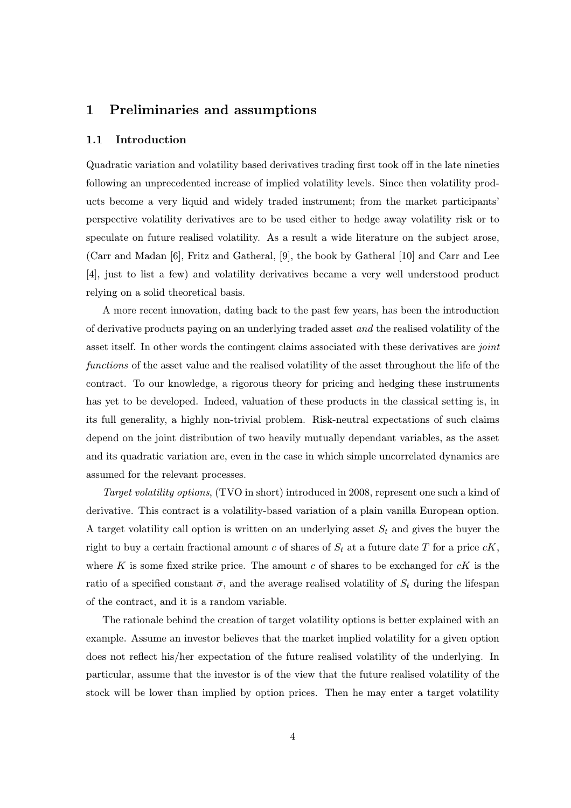# 1 Preliminaries and assumptions

#### 1.1 Introduction

Quadratic variation and volatility based derivatives trading first took off in the late nineties following an unprecedented increase of implied volatility levels. Since then volatility products become a very liquid and widely traded instrument; from the market participants' perspective volatility derivatives are to be used either to hedge away volatility risk or to speculate on future realised volatility. As a result a wide literature on the subject arose, (Carr and Madan [6], Fritz and Gatheral, [9], the book by Gatheral [10] and Carr and Lee [4], just to list a few) and volatility derivatives became a very well understood product relying on a solid theoretical basis.

A more recent innovation, dating back to the past few years, has been the introduction of derivative products paying on an underlying traded asset and the realised volatility of the asset itself. In other words the contingent claims associated with these derivatives are *joint* functions of the asset value and the realised volatility of the asset throughout the life of the contract. To our knowledge, a rigorous theory for pricing and hedging these instruments has yet to be developed. Indeed, valuation of these products in the classical setting is, in its full generality, a highly non-trivial problem. Risk-neutral expectations of such claims depend on the joint distribution of two heavily mutually dependant variables, as the asset and its quadratic variation are, even in the case in which simple uncorrelated dynamics are assumed for the relevant processes.

Target volatility options, (TVO in short) introduced in 2008, represent one such a kind of derivative. This contract is a volatility-based variation of a plain vanilla European option. A target volatility call option is written on an underlying asset  $S_t$  and gives the buyer the right to buy a certain fractional amount c of shares of  $S_t$  at a future date T for a price  $cK$ , where  $K$  is some fixed strike price. The amount  $c$  of shares to be exchanged for  $cK$  is the ratio of a specified constant  $\bar{\sigma}$ , and the average realised volatility of  $S_t$  during the lifespan of the contract, and it is a random variable.

The rationale behind the creation of target volatility options is better explained with an example. Assume an investor believes that the market implied volatility for a given option does not reflect his/her expectation of the future realised volatility of the underlying. In particular, assume that the investor is of the view that the future realised volatility of the stock will be lower than implied by option prices. Then he may enter a target volatility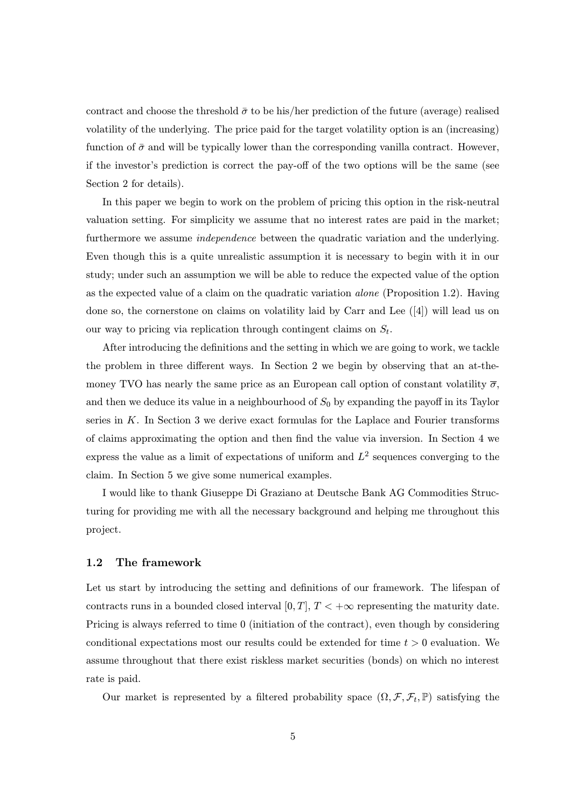contract and choose the threshold  $\bar{\sigma}$  to be his/her prediction of the future (average) realised volatility of the underlying. The price paid for the target volatility option is an (increasing) function of  $\bar{\sigma}$  and will be typically lower than the corresponding vanilla contract. However, if the investor's prediction is correct the pay-off of the two options will be the same (see Section 2 for details).

In this paper we begin to work on the problem of pricing this option in the risk-neutral valuation setting. For simplicity we assume that no interest rates are paid in the market; furthermore we assume independence between the quadratic variation and the underlying. Even though this is a quite unrealistic assumption it is necessary to begin with it in our study; under such an assumption we will be able to reduce the expected value of the option as the expected value of a claim on the quadratic variation alone (Proposition 1.2). Having done so, the cornerstone on claims on volatility laid by Carr and Lee ([4]) will lead us on our way to pricing via replication through contingent claims on  $S_t$ .

After introducing the definitions and the setting in which we are going to work, we tackle the problem in three different ways. In Section 2 we begin by observing that an at-themoney TVO has nearly the same price as an European call option of constant volatility  $\bar{\sigma}$ , and then we deduce its value in a neighbourhood of  $S_0$  by expanding the payoff in its Taylor series in  $K$ . In Section 3 we derive exact formulas for the Laplace and Fourier transforms of claims approximating the option and then find the value via inversion. In Section 4 we express the value as a limit of expectations of uniform and  $L^2$  sequences converging to the claim. In Section 5 we give some numerical examples.

I would like to thank Giuseppe Di Graziano at Deutsche Bank AG Commodities Structuring for providing me with all the necessary background and helping me throughout this project.

#### 1.2 The framework

Let us start by introducing the setting and definitions of our framework. The lifespan of contracts runs in a bounded closed interval [0, T],  $T < +\infty$  representing the maturity date. Pricing is always referred to time 0 (initiation of the contract), even though by considering conditional expectations most our results could be extended for time  $t > 0$  evaluation. We assume throughout that there exist riskless market securities (bonds) on which no interest rate is paid.

Our market is represented by a filtered probability space  $(\Omega, \mathcal{F}, \mathcal{F}_t, \mathbb{P})$  satisfying the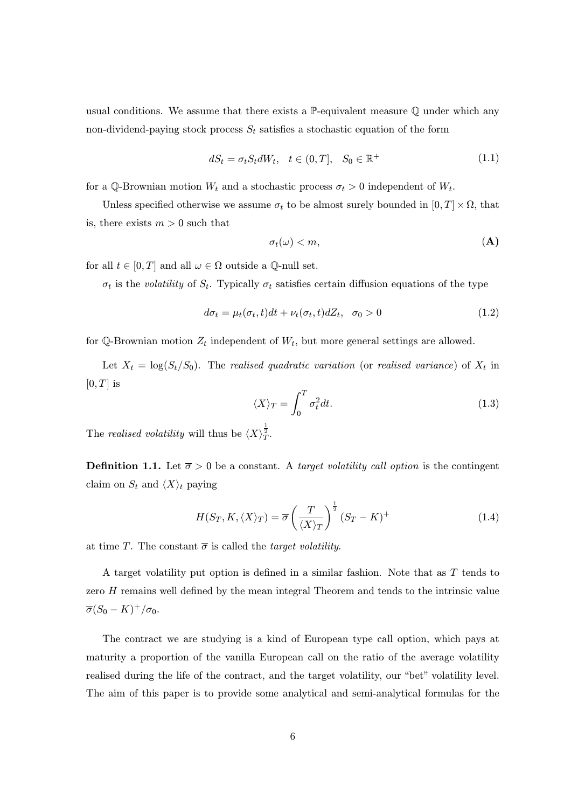usual conditions. We assume that there exists a  $\mathbb{P}\text{-}\mathrm{equivalent}$  measure  $\mathbb Q$  under which any non-dividend-paying stock process  $S_t$  satisfies a stochastic equation of the form

$$
dS_t = \sigma_t S_t dW_t, \quad t \in (0, T], \quad S_0 \in \mathbb{R}^+ \tag{1.1}
$$

for a Q-Brownian motion  $W_t$  and a stochastic process  $\sigma_t > 0$  independent of  $W_t$ .

Unless specified otherwise we assume  $\sigma_t$  to be almost surely bounded in  $[0, T] \times \Omega$ , that is, there exists  $m > 0$  such that

$$
\sigma_t(\omega) < m,\tag{A}
$$

for all  $t \in [0, T]$  and all  $\omega \in \Omega$  outside a Q-null set.

 $\sigma_t$  is the volatility of  $S_t$ . Typically  $\sigma_t$  satisfies certain diffusion equations of the type

$$
d\sigma_t = \mu_t(\sigma_t, t)dt + \nu_t(\sigma_t, t)dZ_t, \quad \sigma_0 > 0 \tag{1.2}
$$

for  $\mathbb{Q}$ -Brownian motion  $Z_t$  independent of  $W_t$ , but more general settings are allowed.

Let  $X_t = \log(S_t/S_0)$ . The realised quadratic variation (or realised variance) of  $X_t$  in  $[0, T]$  is

$$
\langle X \rangle_T = \int_0^T \sigma_t^2 dt. \tag{1.3}
$$

The realised volatility will thus be  $\langle X \rangle^{\frac{1}{2}}_T$ .

**Definition 1.1.** Let  $\bar{\sigma} > 0$  be a constant. A *target volatility call option* is the contingent claim on  $S_t$  and  $\langle X \rangle_t$  paying

$$
H(S_T, K, \langle X \rangle_T) = \overline{\sigma} \left(\frac{T}{\langle X \rangle_T}\right)^{\frac{1}{2}} (S_T - K)^+ \tag{1.4}
$$

at time T. The constant  $\bar{\sigma}$  is called the *target volatility*.

A target volatility put option is defined in a similar fashion. Note that as T tends to zero H remains well defined by the mean integral Theorem and tends to the intrinsic value  $\overline{\sigma}(S_0 - K)^+/\sigma_0.$ 

The contract we are studying is a kind of European type call option, which pays at maturity a proportion of the vanilla European call on the ratio of the average volatility realised during the life of the contract, and the target volatility, our "bet" volatility level. The aim of this paper is to provide some analytical and semi-analytical formulas for the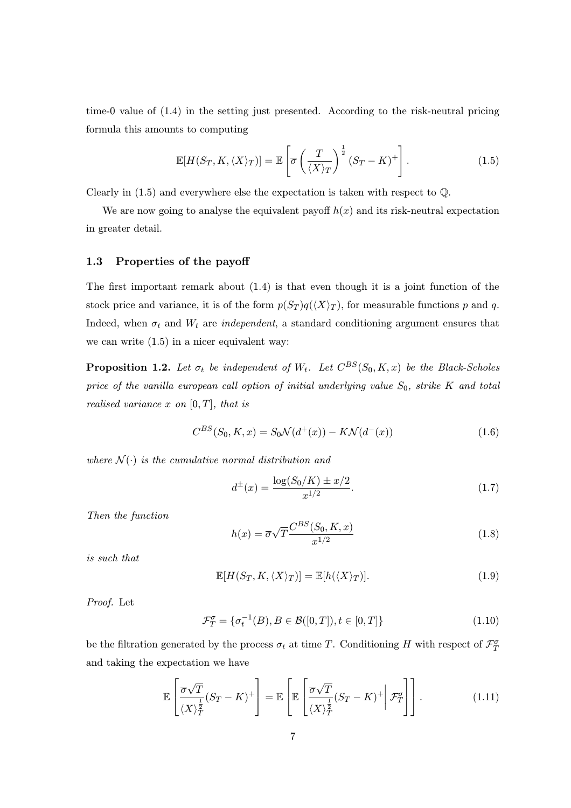time-0 value of (1.4) in the setting just presented. According to the risk-neutral pricing formula this amounts to computing

$$
\mathbb{E}[H(S_T, K, \langle X \rangle_T)] = \mathbb{E}\left[\overline{\sigma}\left(\frac{T}{\langle X \rangle_T}\right)^{\frac{1}{2}}(S_T - K)^+\right].
$$
\n(1.5)

Clearly in (1.5) and everywhere else the expectation is taken with respect to Q.

We are now going to analyse the equivalent payoff  $h(x)$  and its risk-neutral expectation in greater detail.

### 1.3 Properties of the payoff

The first important remark about (1.4) is that even though it is a joint function of the stock price and variance, it is of the form  $p(S_T)q(\langle X\rangle_T)$ , for measurable functions p and q. Indeed, when  $\sigma_t$  and  $W_t$  are *independent*, a standard conditioning argument ensures that we can write (1.5) in a nicer equivalent way:

**Proposition 1.2.** Let  $\sigma_t$  be independent of  $W_t$ . Let  $C^{BS}(S_0, K, x)$  be the Black-Scholes price of the vanilla european call option of initial underlying value  $S_0$ , strike K and total realised variance x on  $[0, T]$ , that is

$$
C^{BS}(S_0, K, x) = S_0 \mathcal{N}(d^+(x)) - K \mathcal{N}(d^-(x))
$$
\n(1.6)

where  $\mathcal{N}(\cdot)$  is the cumulative normal distribution and

$$
d^{\pm}(x) = \frac{\log(S_0/K) \pm x/2}{x^{1/2}}.
$$
\n(1.7)

Then the function

$$
h(x) = \overline{\sigma}\sqrt{T}\frac{C^{BS}(S_0, K, x)}{x^{1/2}}
$$
\n(1.8)

is such that

$$
\mathbb{E}[H(S_T, K, \langle X \rangle_T)] = \mathbb{E}[h(\langle X \rangle_T)]. \tag{1.9}
$$

Proof. Let

$$
\mathcal{F}_T^{\sigma} = \{ \sigma_t^{-1}(B), B \in \mathcal{B}([0, T]), t \in [0, T] \}
$$
\n(1.10)

be the filtration generated by the process  $\sigma_t$  at time T. Conditioning H with respect of  $\mathcal{F}_T^{\sigma}$ and taking the expectation we have

$$
\mathbb{E}\left[\frac{\overline{\sigma}\sqrt{T}}{\langle X\rangle_T^{\frac{1}{2}}}(S_T - K)^+\right] = \mathbb{E}\left[\mathbb{E}\left[\frac{\overline{\sigma}\sqrt{T}}{\langle X\rangle_T^{\frac{1}{2}}}(S_T - K)^+\middle|\mathcal{F}_T^{\sigma}\right]\right].\tag{1.11}
$$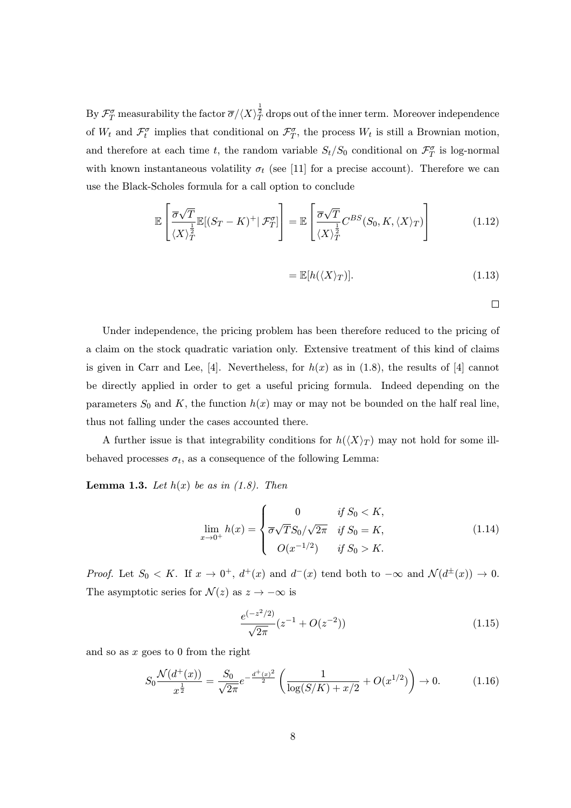By  $\mathcal{F}^\sigma_T$  measurability the factor  $\overline{\sigma}/\langle X\rangle^{\frac{1}{2}}_T$  drops out of the inner term. Moreover independence of  $W_t$  and  $\mathcal{F}^{\sigma}_t$  implies that conditional on  $\mathcal{F}^{\sigma}_T$ , the process  $W_t$  is still a Brownian motion, and therefore at each time t, the random variable  $S_t/S_0$  conditional on  $\mathcal{F}_T^{\sigma}$  is log-normal with known instantaneous volatility  $\sigma_t$  (see [11] for a precise account). Therefore we can use the Black-Scholes formula for a call option to conclude

$$
\mathbb{E}\left[\frac{\overline{\sigma}\sqrt{T}}{\langle X\rangle_T^{\frac{1}{2}}}\mathbb{E}[(S_T - K)^+ | \mathcal{F}_T^{\sigma}]\right] = \mathbb{E}\left[\frac{\overline{\sigma}\sqrt{T}}{\langle X\rangle_T^{\frac{1}{2}}}C^{BS}(S_0, K, \langle X\rangle_T)\right]
$$
(1.12)

$$
= \mathbb{E}[h(\langle X \rangle_T)]. \tag{1.13}
$$

 $\Box$ 

Under independence, the pricing problem has been therefore reduced to the pricing of a claim on the stock quadratic variation only. Extensive treatment of this kind of claims is given in Carr and Lee, [4]. Nevertheless, for  $h(x)$  as in (1.8), the results of [4] cannot be directly applied in order to get a useful pricing formula. Indeed depending on the parameters  $S_0$  and K, the function  $h(x)$  may or may not be bounded on the half real line, thus not falling under the cases accounted there.

A further issue is that integrability conditions for  $h(\langle X \rangle_T)$  may not hold for some illbehaved processes  $\sigma_t$ , as a consequence of the following Lemma:

**Lemma 1.3.** Let  $h(x)$  be as in (1.8). Then

$$
\lim_{x \to 0^+} h(x) = \begin{cases} 0 & \text{if } S_0 < K, \\ \overline{\sigma} \sqrt{T} S_0 / \sqrt{2\pi} & \text{if } S_0 = K, \\ O(x^{-1/2}) & \text{if } S_0 > K. \end{cases} \tag{1.14}
$$

Proof. Let  $S_0 < K$ . If  $x \to 0^+$ ,  $d^+(x)$  and  $d^-(x)$  tend both to  $-\infty$  and  $\mathcal{N}(d^{\pm}(x)) \to 0$ . The asymptotic series for  $\mathcal{N}(z)$  as  $z \to -\infty$  is

$$
\frac{e^{(-z^2/2)}}{\sqrt{2\pi}}(z^{-1} + O(z^{-2}))\tag{1.15}
$$

and so as  $x$  goes to 0 from the right

$$
S_0 \frac{\mathcal{N}(d^+(x))}{x^{\frac{1}{2}}} = \frac{S_0}{\sqrt{2\pi}} e^{-\frac{d^+(x)^2}{2}} \left( \frac{1}{\log(S/K) + x/2} + O(x^{1/2}) \right) \to 0. \tag{1.16}
$$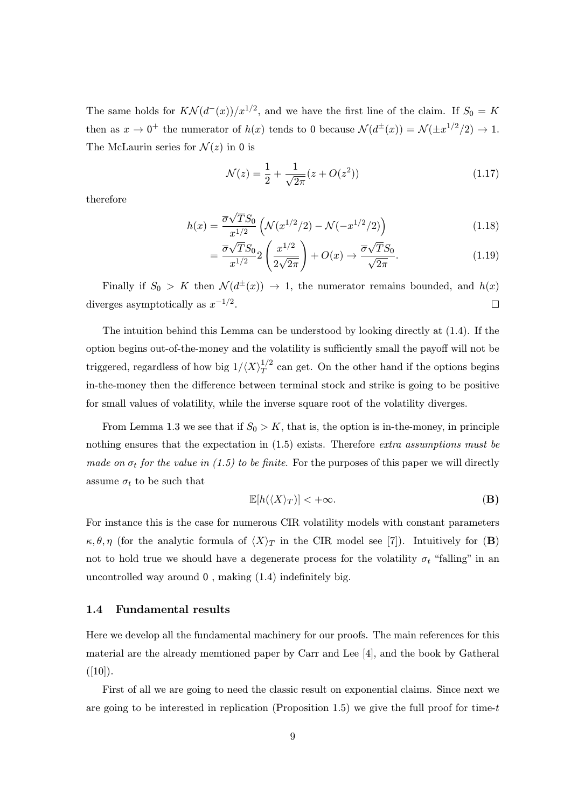The same holds for  $K\mathcal{N}(d^-(x))/x^{1/2}$ , and we have the first line of the claim. If  $S_0 = K$ then as  $x \to 0^+$  the numerator of  $h(x)$  tends to 0 because  $\mathcal{N}(d^{\pm}(x)) = \mathcal{N}(\pm x^{1/2}/2) \to 1$ . The McLaurin series for  $\mathcal{N}(z)$  in 0 is

$$
\mathcal{N}(z) = \frac{1}{2} + \frac{1}{\sqrt{2\pi}} (z + O(z^2))
$$
\n(1.17)

therefore

$$
h(x) = \frac{\overline{\sigma}\sqrt{T}S_0}{x^{1/2}} \left( \mathcal{N}(x^{1/2}/2) - \mathcal{N}(-x^{1/2}/2) \right)
$$
 (1.18)

$$
=\frac{\overline{\sigma}\sqrt{T}S_0}{x^{1/2}}2\left(\frac{x^{1/2}}{2\sqrt{2\pi}}\right)+O(x)\to\frac{\overline{\sigma}\sqrt{T}S_0}{\sqrt{2\pi}}.\tag{1.19}
$$

Finally if  $S_0 > K$  then  $\mathcal{N}(d^{\pm}(x)) \rightarrow 1$ , the numerator remains bounded, and  $h(x)$ diverges asymptotically as  $x^{-1/2}$ .  $\Box$ 

The intuition behind this Lemma can be understood by looking directly at (1.4). If the option begins out-of-the-money and the volatility is sufficiently small the payoff will not be triggered, regardless of how big  $1/\langle X \rangle_T^{1/2}$  can get. On the other hand if the options begins in-the-money then the difference between terminal stock and strike is going to be positive for small values of volatility, while the inverse square root of the volatility diverges.

From Lemma 1.3 we see that if  $S_0 > K$ , that is, the option is in-the-money, in principle nothing ensures that the expectation in (1.5) exists. Therefore extra assumptions must be made on  $\sigma_t$  for the value in (1.5) to be finite. For the purposes of this paper we will directly assume  $\sigma_t$  to be such that

$$
\mathbb{E}[h(\langle X\rangle_T)] < +\infty. \tag{B}
$$

For instance this is the case for numerous CIR volatility models with constant parameters  $\kappa, \theta, \eta$  (for the analytic formula of  $\langle X \rangle_T$  in the CIR model see [7]). Intuitively for (B) not to hold true we should have a degenerate process for the volatility  $\sigma_t$  "falling" in an uncontrolled way around 0 , making (1.4) indefinitely big.

#### 1.4 Fundamental results

Here we develop all the fundamental machinery for our proofs. The main references for this material are the already memtioned paper by Carr and Lee [4], and the book by Gatheral  $([10]).$ 

First of all we are going to need the classic result on exponential claims. Since next we are going to be interested in replication (Proposition 1.5) we give the full proof for time-t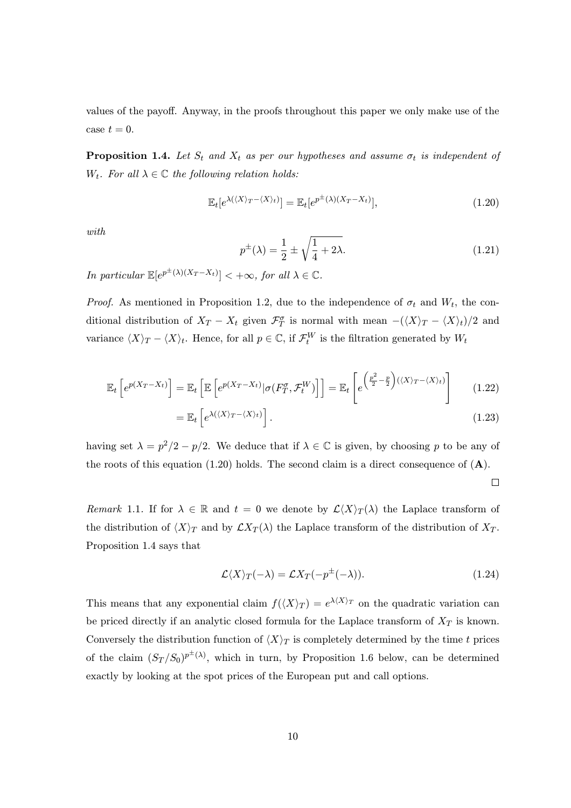values of the payoff. Anyway, in the proofs throughout this paper we only make use of the case  $t = 0$ .

**Proposition 1.4.** Let  $S_t$  and  $X_t$  as per our hypotheses and assume  $\sigma_t$  is independent of W<sub>t</sub>. For all  $\lambda \in \mathbb{C}$  the following relation holds:

$$
\mathbb{E}_t[e^{\lambda(\langle X \rangle_T - \langle X \rangle_t)}] = \mathbb{E}_t[e^{p^{\pm}(\lambda)(X_T - X_t)}],\tag{1.20}
$$

with

$$
p^{\pm}(\lambda) = \frac{1}{2} \pm \sqrt{\frac{1}{4} + 2\lambda}.
$$
 (1.21)

In particular  $\mathbb{E}[e^{p^{\pm}(\lambda)(X_T - X_t)}] < +\infty$ , for all  $\lambda \in \mathbb{C}$ .

*Proof.* As mentioned in Proposition 1.2, due to the independence of  $\sigma_t$  and  $W_t$ , the conditional distribution of  $X_T - X_t$  given  $\mathcal{F}^{\sigma}_T$  is normal with mean  $-(\langle X \rangle_T - \langle X \rangle_t)/2$  and variance  $\langle X \rangle_T - \langle X \rangle_t$ . Hence, for all  $p \in \mathbb{C}$ , if  $\mathcal{F}_t^W$  is the filtration generated by  $W_t$ 

$$
\mathbb{E}_t\left[e^{p(X_T - X_t)}\right] = \mathbb{E}_t\left[\mathbb{E}\left[e^{p(X_T - X_t)}|\sigma(F_T^{\sigma}, \mathcal{F}_t^W)\right]\right] = \mathbb{E}_t\left[e^{\left(\frac{p^2}{2} - \frac{p}{2}\right)(\langle X \rangle_T - \langle X \rangle_t)}\right] \tag{1.22}
$$

$$
= \mathbb{E}_t \left[ e^{\lambda(\langle X \rangle_T - \langle X \rangle_t)} \right]. \tag{1.23}
$$

having set  $\lambda = p^2/2 - p/2$ . We deduce that if  $\lambda \in \mathbb{C}$  is given, by choosing p to be any of the roots of this equation (1.20) holds. The second claim is a direct consequence of  $(A)$ .

 $\Box$ 

Remark 1.1. If for  $\lambda \in \mathbb{R}$  and  $t = 0$  we denote by  $\mathcal{L}\langle X\rangle_T(\lambda)$  the Laplace transform of the distribution of  $\langle X \rangle_T$  and by  $\mathcal{L}X_T(\lambda)$  the Laplace transform of the distribution of  $X_T$ . Proposition 1.4 says that

$$
\mathcal{L}\langle X\rangle_T(-\lambda) = \mathcal{L}X_T(-p^{\pm}(-\lambda)).\tag{1.24}
$$

This means that any exponential claim  $f(\langle X \rangle_T) = e^{\lambda \langle X \rangle_T}$  on the quadratic variation can be priced directly if an analytic closed formula for the Laplace transform of  $X_T$  is known. Conversely the distribution function of  $\langle X \rangle_T$  is completely determined by the time t prices of the claim  $(S_T/S_0)^{p^{\pm}(\lambda)}$ , which in turn, by Proposition 1.6 below, can be determined exactly by looking at the spot prices of the European put and call options.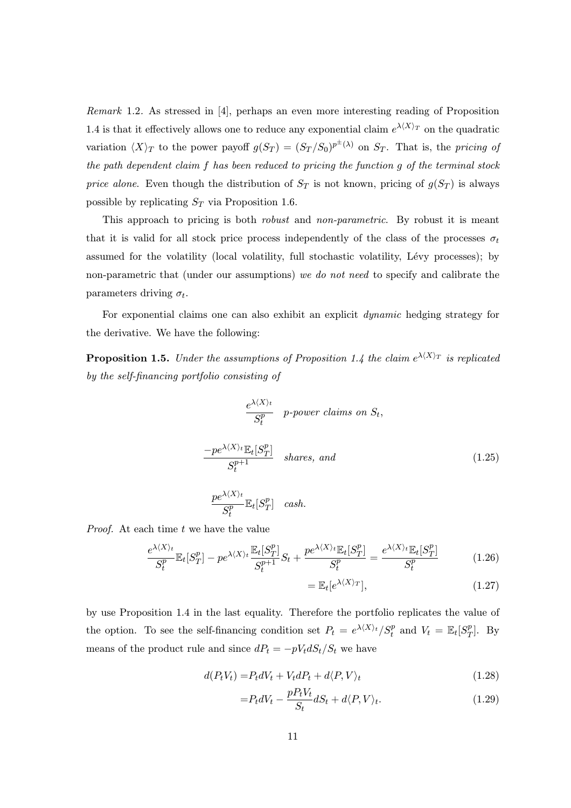Remark 1.2. As stressed in [4], perhaps an even more interesting reading of Proposition 1.4 is that it effectively allows one to reduce any exponential claim  $e^{\lambda \langle X \rangle_T}$  on the quadratic variation  $\langle X \rangle_T$  to the power payoff  $g(S_T) = (S_T/S_0)^{p^{\pm}(\lambda)}$  on  $S_T$ . That is, the pricing of the path dependent claim f has been reduced to pricing the function g of the terminal stock price alone. Even though the distribution of  $S_T$  is not known, pricing of  $g(S_T)$  is always possible by replicating  $S_T$  via Proposition 1.6.

This approach to pricing is both *robust* and *non-parametric*. By robust it is meant that it is valid for all stock price process independently of the class of the processes  $\sigma_t$ assumed for the volatility (local volatility, full stochastic volatility, Lévy processes); by non-parametric that (under our assumptions) we do not need to specify and calibrate the parameters driving  $\sigma_t$ .

For exponential claims one can also exhibit an explicit dynamic hedging strategy for the derivative. We have the following:

**Proposition 1.5.** Under the assumptions of Proposition 1.4 the claim  $e^{\lambda \langle X \rangle_T}$  is replicated by the self-financing portfolio consisting of

$$
\frac{e^{\lambda(X)_t}}{S_t^p} \quad p\text{-power claims on } S_t,
$$
\n
$$
\frac{-pe^{\lambda(X)_t} \mathbb{E}_t[S_T^p]}{S_t^{p+1}} \quad \text{ shares, and}
$$
\n
$$
\frac{pe^{\lambda(X)_t}}{S_t^p} \mathbb{E}_t[S_T^p] \quad \text{cash.}
$$
\n(1.25)

*Proof.* At each time  $t$  we have the value

 $\overline{S^p_t}$ 

$$
\frac{e^{\lambda(X)_t}}{S_t^p} \mathbb{E}_t[S_T^p] - pe^{\lambda(X)_t} \frac{\mathbb{E}_t[S_T^p]}{S_t^{p+1}} S_t + \frac{pe^{\lambda(X)_t} \mathbb{E}_t[S_T^p]}{S_t^p} = \frac{e^{\lambda(X)_t} \mathbb{E}_t[S_T^p]}{S_t^p}
$$
(1.26)

$$
= \mathbb{E}_t[e^{\lambda \langle X \rangle_T}], \tag{1.27}
$$

by use Proposition 1.4 in the last equality. Therefore the portfolio replicates the value of the option. To see the self-financing condition set  $P_t = e^{\lambda \langle X \rangle_t} / S_t^p$  and  $V_t = \mathbb{E}_t[S_T^p]$ . By means of the product rule and since  $dP_t = -pV_t dS_t/S_t$  we have

$$
d(P_t V_t) = P_t dV_t + V_t dP_t + d\langle P, V \rangle_t \tag{1.28}
$$

$$
=P_t dV_t - \frac{pP_t V_t}{S_t} dS_t + d\langle P, V \rangle_t.
$$
\n(1.29)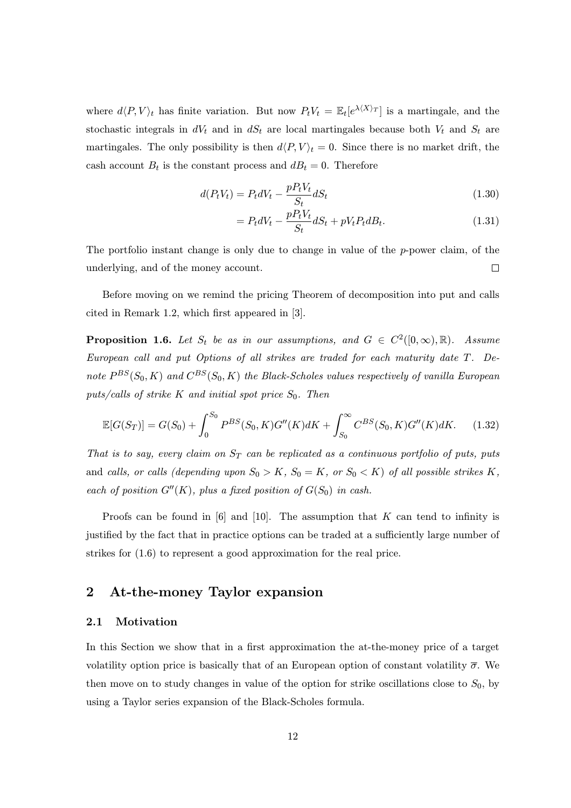where  $d\langle P, V \rangle_t$  has finite variation. But now  $P_tV_t = \mathbb{E}_t[e^{\lambda \langle X \rangle_T}]$  is a martingale, and the stochastic integrals in  $dV_t$  and in  $dS_t$  are local martingales because both  $V_t$  and  $S_t$  are martingales. The only possibility is then  $d\langle P, V \rangle_t = 0$ . Since there is no market drift, the cash account  $B_t$  is the constant process and  $dB_t = 0$ . Therefore

$$
d(P_t V_t) = P_t dV_t - \frac{p P_t V_t}{S_t} dS_t
$$
\n
$$
\tag{1.30}
$$

$$
= P_t dV_t - \frac{p P_t V_t}{S_t} dS_t + p V_t P_t dB_t.
$$
\n
$$
(1.31)
$$

The portfolio instant change is only due to change in value of the  $p$ -power claim, of the underlying, and of the money account.  $\Box$ 

Before moving on we remind the pricing Theorem of decomposition into put and calls cited in Remark 1.2, which first appeared in [3].

**Proposition 1.6.** Let  $S_t$  be as in our assumptions, and  $G \in C^2([0,\infty),\mathbb{R})$ . Assume European call and put Options of all strikes are traded for each maturity date T. Denote  $P^{BS}(S_0, K)$  and  $C^{BS}(S_0, K)$  the Black-Scholes values respectively of vanilla European puts/calls of strike K and initial spot price  $S_0$ . Then

$$
\mathbb{E}[G(S_T)] = G(S_0) + \int_0^{S_0} P^{BS}(S_0, K)G''(K)dK + \int_{S_0}^{\infty} C^{BS}(S_0, K)G''(K)dK.
$$
 (1.32)

That is to say, every claim on  $S_T$  can be replicated as a continuous portfolio of puts, puts and calls, or calls (depending upon  $S_0 > K$ ,  $S_0 = K$ , or  $S_0 < K$ ) of all possible strikes K, each of position  $G''(K)$ , plus a fixed position of  $G(S_0)$  in cash.

Proofs can be found in  $[6]$  and  $[10]$ . The assumption that K can tend to infinity is justified by the fact that in practice options can be traded at a sufficiently large number of strikes for (1.6) to represent a good approximation for the real price.

# 2 At-the-money Taylor expansion

### 2.1 Motivation

In this Section we show that in a first approximation the at-the-money price of a target volatility option price is basically that of an European option of constant volatility  $\bar{\sigma}$ . We then move on to study changes in value of the option for strike oscillations close to  $S_0$ , by using a Taylor series expansion of the Black-Scholes formula.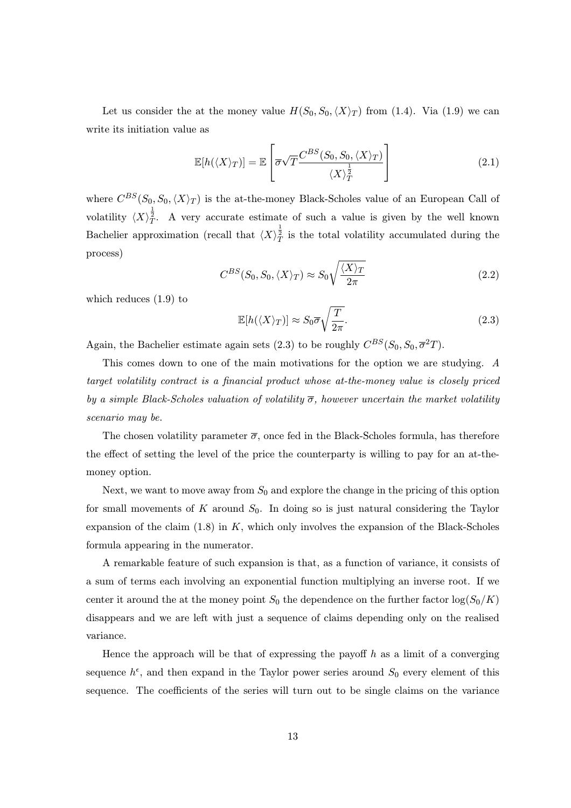Let us consider the at the money value  $H(S_0, S_0, \langle X \rangle_T)$  from (1.4). Via (1.9) we can write its initiation value as

$$
\mathbb{E}[h(\langle X \rangle_T)] = \mathbb{E}\left[\overline{\sigma}\sqrt{T}\frac{C^{BS}(S_0, S_0, \langle X \rangle_T)}{\langle X \rangle_T^{\frac{1}{2}}}\right]
$$
(2.1)

where  $C^{BS}(S_0, S_0, \langle X \rangle_T)$  is the at-the-money Black-Scholes value of an European Call of volatility  $\langle X\rangle_T^{\frac{1}{2}}$ . A very accurate estimate of such a value is given by the well known Bachelier approximation (recall that  $\langle X \rangle^{\frac{1}{2}}_T$  is the total volatility accumulated during the process)

$$
C^{BS}(S_0, S_0, \langle X \rangle_T) \approx S_0 \sqrt{\frac{\langle X \rangle_T}{2\pi}}
$$
\n(2.2)

which reduces (1.9) to

$$
\mathbb{E}[h(\langle X \rangle_T)] \approx S_0 \overline{\sigma} \sqrt{\frac{T}{2\pi}}.
$$
\n(2.3)

Again, the Bachelier estimate again sets (2.3) to be roughly  $C^{BS}(S_0, S_0, \overline{\sigma}^2 T)$ .

This comes down to one of the main motivations for the option we are studying. A target volatility contract is a financial product whose at-the-money value is closely priced by a simple Black-Scholes valuation of volatility  $\overline{\sigma}$ , however uncertain the market volatility scenario may be.

The chosen volatility parameter  $\bar{\sigma}$ , once fed in the Black-Scholes formula, has therefore the effect of setting the level of the price the counterparty is willing to pay for an at-themoney option.

Next, we want to move away from  $S_0$  and explore the change in the pricing of this option for small movements of  $K$  around  $S_0$ . In doing so is just natural considering the Taylor expansion of the claim  $(1.8)$  in K, which only involves the expansion of the Black-Scholes formula appearing in the numerator.

A remarkable feature of such expansion is that, as a function of variance, it consists of a sum of terms each involving an exponential function multiplying an inverse root. If we center it around the at the money point  $S_0$  the dependence on the further factor  $\log(S_0/K)$ disappears and we are left with just a sequence of claims depending only on the realised variance.

Hence the approach will be that of expressing the payoff  $h$  as a limit of a converging sequence  $h^{\epsilon}$ , and then expand in the Taylor power series around  $S_0$  every element of this sequence. The coefficients of the series will turn out to be single claims on the variance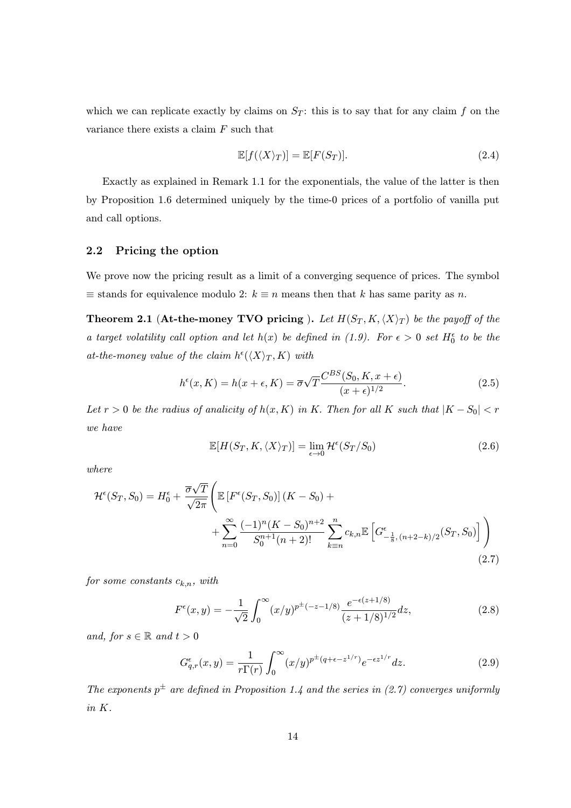which we can replicate exactly by claims on  $S_T$ : this is to say that for any claim f on the variance there exists a claim F such that

$$
\mathbb{E}[f(\langle X \rangle_T)] = \mathbb{E}[F(S_T)]. \tag{2.4}
$$

Exactly as explained in Remark 1.1 for the exponentials, the value of the latter is then by Proposition 1.6 determined uniquely by the time-0 prices of a portfolio of vanilla put and call options.

## 2.2 Pricing the option

We prove now the pricing result as a limit of a converging sequence of prices. The symbol  $\equiv$  stands for equivalence modulo 2:  $k \equiv n$  means then that k has same parity as n.

**Theorem 2.1 (At-the-money TVO pricing).** Let  $H(S_T, K, \langle X \rangle_T)$  be the payoff of the a target volatility call option and let  $h(x)$  be defined in (1.9). For  $\epsilon > 0$  set  $H_0^{\epsilon}$  to be the at-the-money value of the claim  $h^{\epsilon}(\langle X \rangle_T, K)$  with

$$
h^{\epsilon}(x,K) = h(x+\epsilon,K) = \overline{\sigma}\sqrt{T}\frac{C^{BS}(S_0,K,x+\epsilon)}{(x+\epsilon)^{1/2}}.
$$
\n(2.5)

Let  $r > 0$  be the radius of analicity of  $h(x, K)$  in K. Then for all K such that  $|K - S_0| < r$ we have

$$
\mathbb{E}[H(S_T, K, \langle X \rangle_T)] = \lim_{\epsilon \to 0} \mathcal{H}^{\epsilon}(S_T/S_0)
$$
\n(2.6)

where

$$
\mathcal{H}^{\epsilon}(S_T, S_0) = H_0^{\epsilon} + \frac{\overline{\sigma}\sqrt{T}}{\sqrt{2\pi}} \Bigg( \mathbb{E}\left[F^{\epsilon}(S_T, S_0)\right](K - S_0) + \\ + \sum_{n=0}^{\infty} \frac{(-1)^n (K - S_0)^{n+2}}{S_0^{n+1}(n+2)!} \sum_{k=n}^n c_{k,n} \mathbb{E}\left[G^{\epsilon}_{-\frac{1}{8}, (n+2-k)/2}(S_T, S_0)\right] \Bigg) \tag{2.7}
$$

for some constants  $c_{k,n}$ , with

$$
F^{\epsilon}(x,y) = -\frac{1}{\sqrt{2}} \int_0^{\infty} (x/y)^{p^{\pm}(-z-1/8)} \frac{e^{-\epsilon(z+1/8)}}{(z+1/8)^{1/2}} dz,
$$
 (2.8)

and, for  $s \in \mathbb{R}$  and  $t > 0$ 

$$
G_{q,r}^{\epsilon}(x,y) = \frac{1}{r\Gamma(r)} \int_0^{\infty} (x/y)^{p^{\pm}(q+\epsilon-z^{1/r})} e^{-\epsilon z^{1/r}} dz.
$$
 (2.9)

The exponents  $p^{\pm}$  are defined in Proposition 1.4 and the series in (2.7) converges uniformly in K.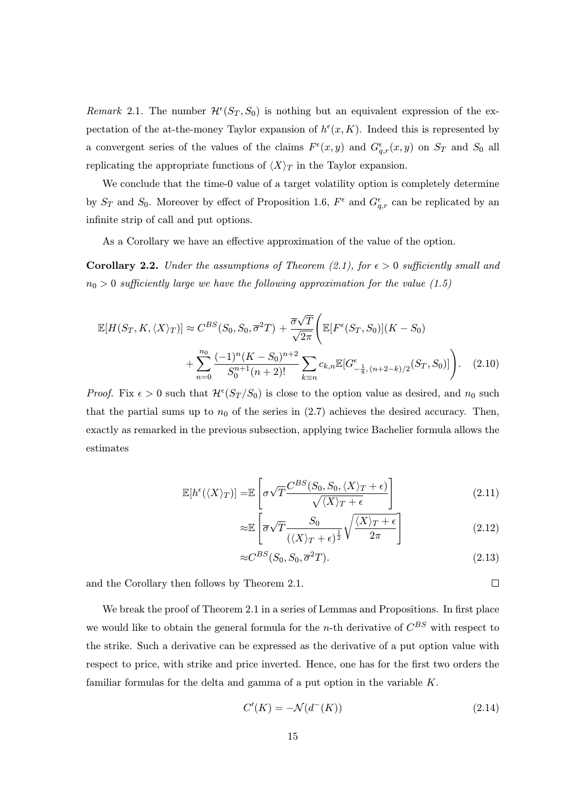Remark 2.1. The number  $\mathcal{H}^{\epsilon}(S_T, S_0)$  is nothing but an equivalent expression of the expectation of the at-the-money Taylor expansion of  $h^{\epsilon}(x, K)$ . Indeed this is represented by a convergent series of the values of the claims  $F^{\epsilon}(x, y)$  and  $G^{\epsilon}_{q,r}(x, y)$  on  $S_T$  and  $S_0$  all replicating the appropriate functions of  $\langle X \rangle_T$  in the Taylor expansion.

We conclude that the time-0 value of a target volatility option is completely determine by  $S_T$  and  $S_0$ . Moreover by effect of Proposition 1.6,  $F^{\epsilon}$  and  $G^{\epsilon}_{q,r}$  can be replicated by an infinite strip of call and put options.

As a Corollary we have an effective approximation of the value of the option.

**Corollary 2.2.** Under the assumptions of Theorem (2.1), for  $\epsilon > 0$  sufficiently small and  $n_0 > 0$  sufficiently large we have the following approximation for the value (1.5)

$$
\mathbb{E}[H(S_T, K, \langle X \rangle_T)] \approx C^{BS}(S_0, S_0, \overline{\sigma}^2 T) + \frac{\overline{\sigma}\sqrt{T}}{\sqrt{2\pi}} \Big( \mathbb{E}[F^{\epsilon}(S_T, S_0)](K - S_0) + \sum_{n=0}^{n_0} \frac{(-1)^n (K - S_0)^{n+2}}{S_0^{n+1}(n+2)!} \sum_{k \equiv n} c_{k,n} \mathbb{E}[G^{\epsilon}_{-\frac{1}{8}, (n+2-k)/2}(S_T, S_0)] \Big). \tag{2.10}
$$

*Proof.* Fix  $\epsilon > 0$  such that  $\mathcal{H}^{\epsilon}(S_T/S_0)$  is close to the option value as desired, and  $n_0$  such that the partial sums up to  $n_0$  of the series in  $(2.7)$  achieves the desired accuracy. Then, exactly as remarked in the previous subsection, applying twice Bachelier formula allows the estimates

$$
\mathbb{E}[h^{\epsilon}(\langle X \rangle_T)] = \mathbb{E}\left[\sigma\sqrt{T}\frac{C^{BS}(S_0, S_0, \langle X \rangle_T + \epsilon)}{\sqrt{\langle X \rangle_T + \epsilon}}\right]
$$
(2.11)

$$
\approx \mathbb{E}\left[\overline{\sigma}\sqrt{T}\frac{S_0}{(\langle X\rangle_T + \epsilon)^{\frac{1}{2}}} \sqrt{\frac{\langle X\rangle_T + \epsilon}{2\pi}}\right]
$$
(2.12)

$$
\approx C^{BS}(S_0, S_0, \overline{\sigma}^2 T). \tag{2.13}
$$

 $\Box$ 

and the Corollary then follows by Theorem 2.1.

We break the proof of Theorem 2.1 in a series of Lemmas and Propositions. In first place we would like to obtain the general formula for the n-th derivative of  $C^{BS}$  with respect to the strike. Such a derivative can be expressed as the derivative of a put option value with respect to price, with strike and price inverted. Hence, one has for the first two orders the familiar formulas for the delta and gamma of a put option in the variable K.

$$
C'(K) = -\mathcal{N}(d^-(K))\tag{2.14}
$$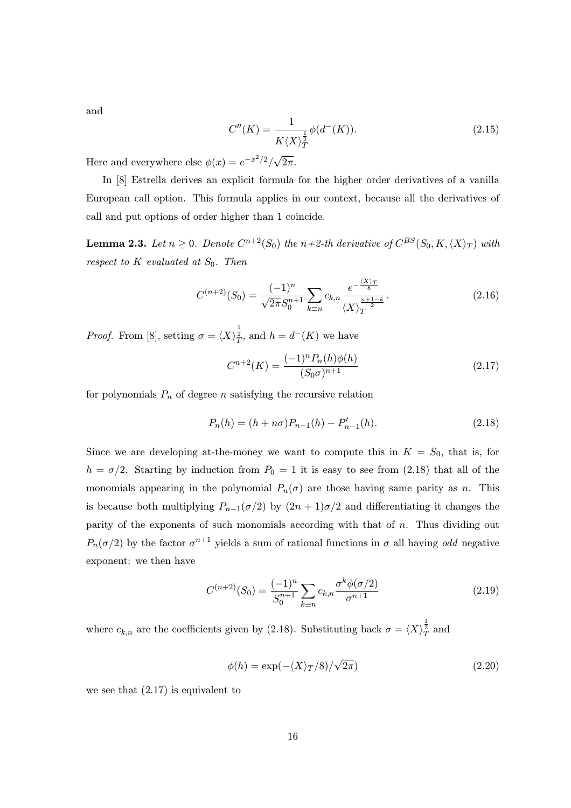and

$$
C''(K) = \frac{1}{K\langle X \rangle_T^{\frac{1}{2}}} \phi(d^-(K)).
$$
\n(2.15)

Here and everywhere else  $\phi(x) = e^{-x^2/2}/\sqrt{2\pi}$ .

In [8] Estrella derives an explicit formula for the higher order derivatives of a vanilla European call option. This formula applies in our context, because all the derivatives of call and put options of order higher than 1 coincide.

**Lemma 2.3.** Let  $n \geq 0$ . Denote  $C^{n+2}(S_0)$  the  $n+2$ -th derivative of  $C^{BS}(S_0, K, \langle X \rangle_T)$  with respect to  $K$  evaluated at  $S_0$ . Then

$$
C^{(n+2)}(S_0) = \frac{(-1)^n}{\sqrt{2\pi}S_0^{n+1}} \sum_{k \equiv n} c_{k,n} \frac{e^{-\frac{\langle X \rangle_T}{8}}}{\langle X \rangle_T^{\frac{n+1-k}{2}}}.
$$
\n(2.16)

*Proof.* From [8], setting  $\sigma = \langle X \rangle \frac{1}{T}$ , and  $h = d^-(K)$  we have

$$
C^{n+2}(K) = \frac{(-1)^n P_n(h)\phi(h)}{(S_0 \sigma)^{n+1}} \tag{2.17}
$$

for polynomials  $P_n$  of degree n satisfying the recursive relation

$$
P_n(h) = (h + n\sigma)P_{n-1}(h) - P'_{n-1}(h). \tag{2.18}
$$

Since we are developing at-the-money we want to compute this in  $K = S_0$ , that is, for  $h = \sigma/2$ . Starting by induction from  $P_0 = 1$  it is easy to see from (2.18) that all of the monomials appearing in the polynomial  $P_n(\sigma)$  are those having same parity as n. This is because both multiplying  $P_{n-1}(\sigma/2)$  by  $(2n+1)\sigma/2$  and differentiating it changes the parity of the exponents of such monomials according with that of  $n$ . Thus dividing out  $P_n(\sigma/2)$  by the factor  $\sigma^{n+1}$  yields a sum of rational functions in  $\sigma$  all having odd negative exponent: we then have

$$
C^{(n+2)}(S_0) = \frac{(-1)^n}{S_0^{n+1}} \sum_{k \equiv n} c_{k,n} \frac{\sigma^k \phi(\sigma/2)}{\sigma^{n+1}}
$$
(2.19)

where  $c_{k,n}$  are the coefficients given by (2.18). Substituting back  $\sigma = \langle X \rangle^{\frac{1}{2}}_T$  and

$$
\phi(h) = \exp(-\langle X \rangle_T/8) / \sqrt{2\pi})
$$
\n(2.20)

we see that  $(2.17)$  is equivalent to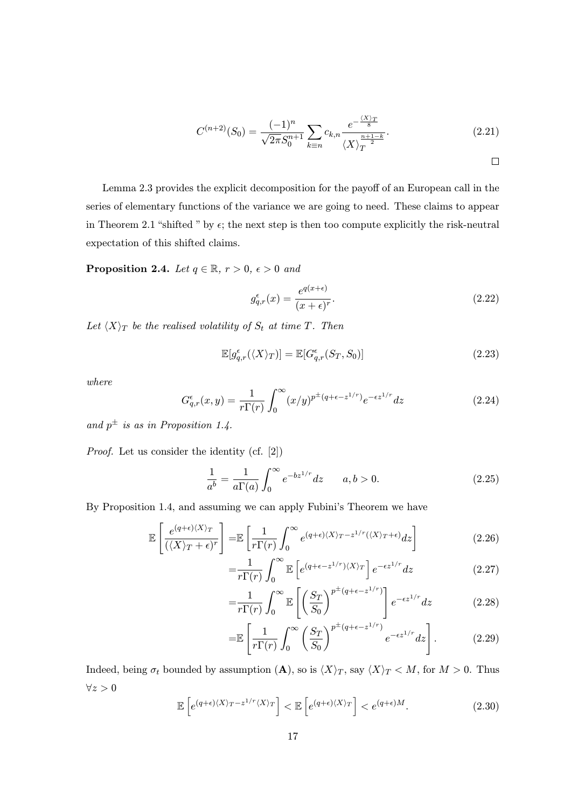$$
C^{(n+2)}(S_0) = \frac{(-1)^n}{\sqrt{2\pi}S_0^{n+1}} \sum_{k=n} c_{k,n} \frac{e^{-\frac{\langle X \rangle_T}{8}}}{\langle X \rangle_T^{\frac{n+1-k}{2}}}.
$$
 (2.21)

 $\Box$ 

Lemma 2.3 provides the explicit decomposition for the payoff of an European call in the series of elementary functions of the variance we are going to need. These claims to appear in Theorem 2.1 "shifted " by  $\epsilon$ ; the next step is then too compute explicitly the risk-neutral expectation of this shifted claims.

**Proposition 2.4.** Let  $q \in \mathbb{R}$ ,  $r > 0$ ,  $\epsilon > 0$  and

$$
g_{q,r}^{\epsilon}(x) = \frac{e^{q(x+\epsilon)}}{(x+\epsilon)^r}.
$$
\n(2.22)

Let  $\langle X \rangle_T$  be the realised volatility of  $S_t$  at time T. Then

$$
\mathbb{E}[g_{q,r}^{\epsilon}(\langle X\rangle_T)] = \mathbb{E}[G_{q,r}^{\epsilon}(S_T, S_0)] \tag{2.23}
$$

where

$$
G_{q,r}^{\epsilon}(x,y) = \frac{1}{r\Gamma(r)} \int_0^{\infty} (x/y)^{p^{\pm}(q+\epsilon-z^{1/r})} e^{-\epsilon z^{1/r}} dz
$$
 (2.24)

and  $p^{\pm}$  is as in Proposition 1.4.

Proof. Let us consider the identity (cf. [2])

$$
\frac{1}{a^b} = \frac{1}{a\Gamma(a)} \int_0^\infty e^{-bz^{1/r}} dz \qquad a, b > 0.
$$
 (2.25)

By Proposition 1.4, and assuming we can apply Fubini's Theorem we have

$$
\mathbb{E}\left[\frac{e^{(q+\epsilon)(X)\tau}}{(\langle X\rangle_T + \epsilon)^r}\right] = \mathbb{E}\left[\frac{1}{r\Gamma(r)}\int_0^\infty e^{(q+\epsilon)(X)\tau - z^{1/r}(\langle X\rangle_T + \epsilon)}dz\right]
$$
(2.26)

$$
=\frac{1}{r\Gamma(r)}\int_0^\infty \mathbb{E}\left[e^{(q+\epsilon-z^{1/r})\langle X\rangle_T}\right]e^{-\epsilon z^{1/r}}dz\tag{2.27}
$$

$$
=\frac{1}{r\Gamma(r)}\int_0^\infty \mathbb{E}\left[\left(\frac{S_T}{S_0}\right)^{p^{\pm}(q+\epsilon-z^{1/r})}\right]e^{-\epsilon z^{1/r}}dz\tag{2.28}
$$

$$
= \mathbb{E}\left[\frac{1}{r\Gamma(r)}\int_0^\infty \left(\frac{S_T}{S_0}\right)^{p^{\pm}(q+\epsilon-z^{1/r})}e^{-\epsilon z^{1/r}}dz\right].\tag{2.29}
$$

Indeed, being  $\sigma_t$  bounded by assumption  $(\mathbf{A})$ , so is  $\langle X \rangle_T$ , say  $\langle X \rangle_T < M$ , for  $M > 0$ . Thus  $\forall z > 0$ 

$$
\mathbb{E}\left[e^{(q+\epsilon)(X)_T-z^{1/r}\langle X\rangle_T}\right] < \mathbb{E}\left[e^{(q+\epsilon)(X)_T}\right] < e^{(q+\epsilon)M}.\tag{2.30}
$$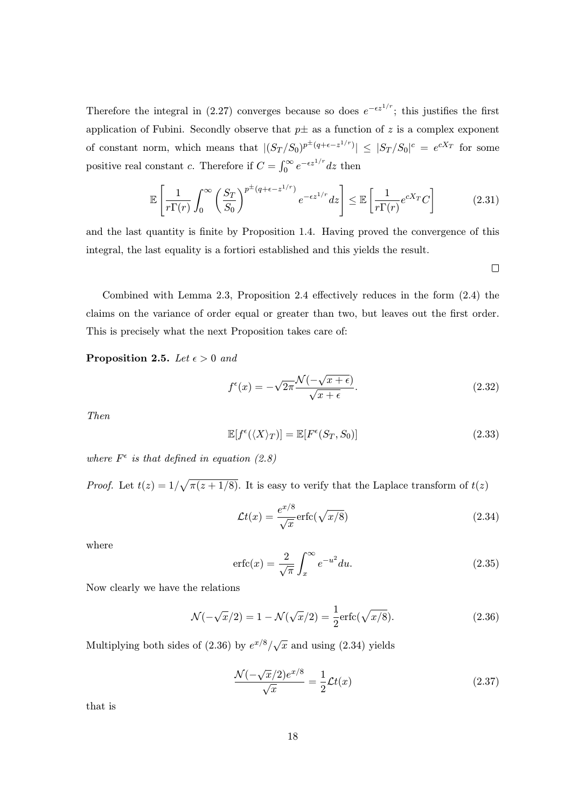Therefore the integral in (2.27) converges because so does  $e^{-\epsilon z^{1/r}}$ ; this justifies the first application of Fubini. Secondly observe that  $p\pm$  as a function of z is a complex exponent of constant norm, which means that  $|(S_T/S_0)^{p^{\pm}(q+\epsilon-z^{1/r})}| \leq |S_T/S_0|^c = e^{cX_T}$  for some positive real constant c. Therefore if  $C = \int_0^\infty e^{-\epsilon z^{1/r}} dz$  then

$$
\mathbb{E}\left[\frac{1}{r\Gamma(r)}\int_0^\infty \left(\frac{S_T}{S_0}\right)^{p^\pm(q+\epsilon-z^{1/r})}e^{-\epsilon z^{1/r}}dz\right] \leq \mathbb{E}\left[\frac{1}{r\Gamma(r)}e^{cX_T}C\right]
$$
(2.31)

and the last quantity is finite by Proposition 1.4. Having proved the convergence of this integral, the last equality is a fortiori established and this yields the result.

 $\Box$ 

Combined with Lemma 2.3, Proposition 2.4 effectively reduces in the form (2.4) the claims on the variance of order equal or greater than two, but leaves out the first order. This is precisely what the next Proposition takes care of:

**Proposition 2.5.** Let  $\epsilon > 0$  and

$$
f^{\epsilon}(x) = -\sqrt{2\pi} \frac{\mathcal{N}(-\sqrt{x+\epsilon})}{\sqrt{x+\epsilon}}.
$$
\n(2.32)

Then

$$
\mathbb{E}[f^{\epsilon}(\langle X \rangle_T)] = \mathbb{E}[F^{\epsilon}(S_T, S_0)] \tag{2.33}
$$

where  $F^{\epsilon}$  is that defined in equation (2.8)

*Proof.* Let  $t(z) = 1/\sqrt{\pi(z+1/8)}$ . It is easy to verify that the Laplace transform of  $t(z)$ 

$$
\mathcal{L}t(x) = \frac{e^{x/8}}{\sqrt{x}} \operatorname{erfc}(\sqrt{x/8})
$$
\n(2.34)

where

$$
\operatorname{erfc}(x) = \frac{2}{\sqrt{\pi}} \int_x^{\infty} e^{-u^2} du. \tag{2.35}
$$

Now clearly we have the relations

$$
\mathcal{N}(-\sqrt{x}/2) = 1 - \mathcal{N}(\sqrt{x}/2) = \frac{1}{2}\text{erfc}(\sqrt{x/8}).
$$
\n(2.36)

Multiplying both sides of (2.36) by  $e^{x/8}/\sqrt{x}$  and using (2.34) yields

$$
\frac{\mathcal{N}(-\sqrt{x}/2)e^{x/8}}{\sqrt{x}} = \frac{1}{2}\mathcal{L}t(x)
$$
\n(2.37)

that is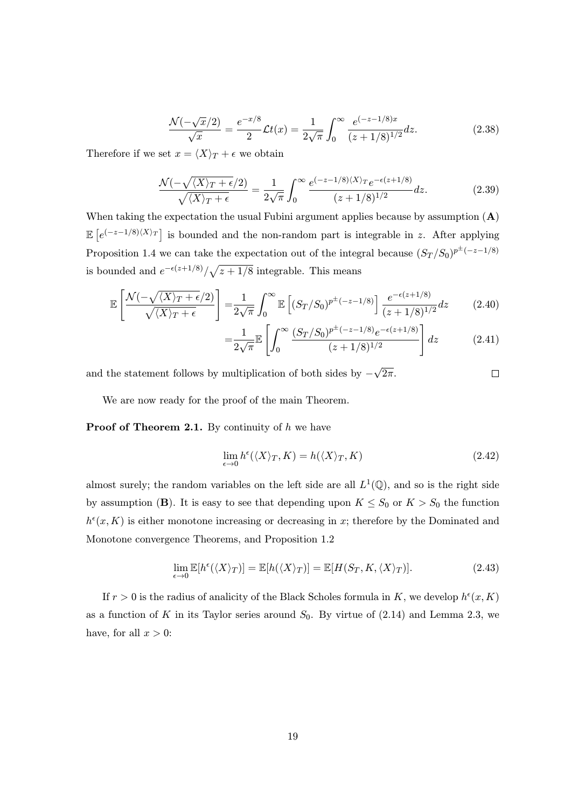$$
\frac{\mathcal{N}(-\sqrt{x}/2)}{\sqrt{x}} = \frac{e^{-x/8}}{2} \mathcal{L}t(x) = \frac{1}{2\sqrt{\pi}} \int_0^\infty \frac{e^{(-z-1/8)x}}{(z+1/8)^{1/2}} dz.
$$
 (2.38)

Therefore if we set  $x = \langle X \rangle_T + \epsilon$  we obtain

$$
\frac{\mathcal{N}(-\sqrt{\langle X\rangle_T + \epsilon}/2)}{\sqrt{\langle X\rangle_T + \epsilon}} = \frac{1}{2\sqrt{\pi}} \int_0^\infty \frac{e^{(-z - 1/8)\langle X\rangle_T} e^{-\epsilon(z + 1/8)}}{(z + 1/8)^{1/2}} dz.
$$
 (2.39)

When taking the expectation the usual Fubini argument applies because by assumption  $(A)$  $\mathbb{E}\left[e^{(-z-1/8)\langle X\rangle_T}\right]$  is bounded and the non-random part is integrable in z. After applying Proposition 1.4 we can take the expectation out of the integral because  $(S_T/S_0)^{p^{\pm}(-z-1/8)}$ is bounded and  $e^{-\epsilon(z+1/8)}/\sqrt{z+1/8}$  integrable. This means

$$
\mathbb{E}\left[\frac{\mathcal{N}(-\sqrt{\langle X\rangle_T + \epsilon}/2)}{\sqrt{\langle X\rangle_T + \epsilon}}\right] = \frac{1}{2\sqrt{\pi}} \int_0^\infty \mathbb{E}\left[(S_T/S_0)^{p^{\pm}(-z-1/8)}\right] \frac{e^{-\epsilon(z+1/8)}}{(z+1/8)^{1/2}} dz\tag{2.40}
$$

$$
=\frac{1}{2\sqrt{\pi}}\mathbb{E}\left[\int_0^\infty \frac{(S_T/S_0)^{p^{\pm}(-z-1/8)}e^{-\epsilon(z+1/8)}}{(z+1/8)^{1/2}}\right]dz\tag{2.41}
$$

and the statement follows by multiplication of both sides by  $-\sqrt{2\pi}$ .  $\Box$ 

We are now ready for the proof of the main Theorem.

**Proof of Theorem 2.1.** By continuity of  $h$  we have

$$
\lim_{\epsilon \to 0} h^{\epsilon}(\langle X \rangle_T, K) = h(\langle X \rangle_T, K)
$$
\n(2.42)

almost surely; the random variables on the left side are all  $L^1(\mathbb{Q})$ , and so is the right side by assumption (B). It is easy to see that depending upon  $K \leq S_0$  or  $K > S_0$  the function  $h^{\epsilon}(x, K)$  is either monotone increasing or decreasing in x; therefore by the Dominated and Monotone convergence Theorems, and Proposition 1.2

$$
\lim_{\epsilon \to 0} \mathbb{E}[h^{\epsilon}(\langle X \rangle_T)] = \mathbb{E}[h(\langle X \rangle_T)] = \mathbb{E}[H(S_T, K, \langle X \rangle_T)]. \tag{2.43}
$$

If  $r > 0$  is the radius of analicity of the Black Scholes formula in K, we develop  $h^{\epsilon}(x, K)$ as a function of K in its Taylor series around  $S_0$ . By virtue of  $(2.14)$  and Lemma 2.3, we have, for all  $x > 0$ :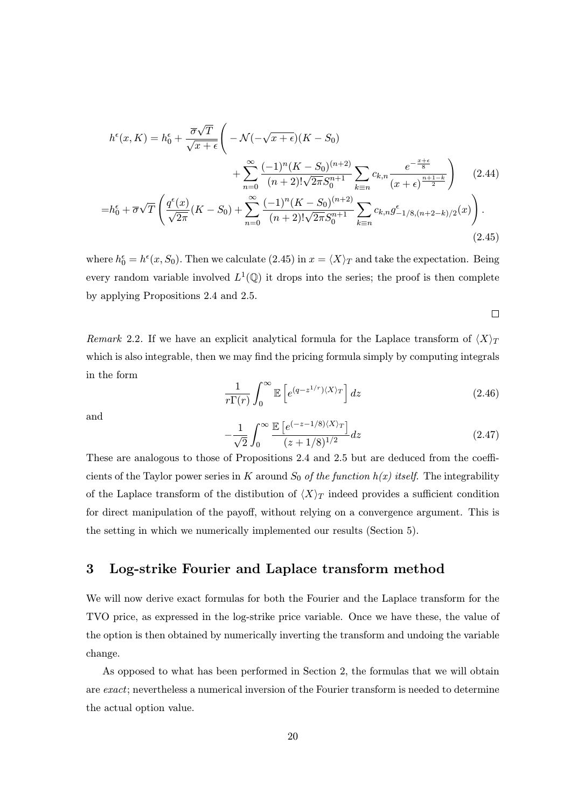$$
h^{\epsilon}(x, K) = h_0^{\epsilon} + \frac{\overline{\sigma}\sqrt{T}}{\sqrt{x+\epsilon}} \left( -\mathcal{N}(-\sqrt{x+\epsilon})(K-S_0) + \sum_{n=0}^{\infty} \frac{(-1)^n (K-S_0)^{(n+2)}}{(n+2)! \sqrt{2\pi} S_0^{n+1}} \sum_{k\equiv n} c_{k,n} \frac{e^{-\frac{x+\epsilon}{8}}}{(x+\epsilon)^{\frac{n+1-k}{2}}} \right) (2.44)
$$
  
=  $h_0^{\epsilon} + \overline{\sigma}\sqrt{T} \left( \frac{q^{\epsilon}(x)}{\sqrt{2\pi}} (K-S_0) + \sum_{n=0}^{\infty} \frac{(-1)^n (K-S_0)^{(n+2)}}{(n+2)! \sqrt{2\pi} S_0^{n+1}} \sum_{k\equiv n} c_{k,n} g^{\epsilon}_{-1/8,(n+2-k)/2}(x) \right).$  (2.45)

where  $h_0^{\epsilon} = h^{\epsilon}(x, S_0)$ . Then we calculate (2.45) in  $x = \langle X \rangle_T$  and take the expectation. Being every random variable involved  $L^1(\mathbb{Q})$  it drops into the series; the proof is then complete by applying Propositions 2.4 and 2.5.

$$
\Box
$$

Remark 2.2. If we have an explicit analytical formula for the Laplace transform of  $\langle X \rangle_T$ which is also integrable, then we may find the pricing formula simply by computing integrals in the form

$$
\frac{1}{r\Gamma(r)}\int_0^\infty \mathbb{E}\left[e^{(q-z^{1/r})\langle X\rangle_T}\right]dz\tag{2.46}
$$

and

$$
-\frac{1}{\sqrt{2}} \int_0^\infty \frac{\mathbb{E}\left[e^{(-z-1/8)\langle X \rangle_T}\right]}{(z+1/8)^{1/2}} dz \tag{2.47}
$$

These are analogous to those of Propositions 2.4 and 2.5 but are deduced from the coefficients of the Taylor power series in K around  $S_0$  of the function  $h(x)$  itself. The integrability of the Laplace transform of the distibution of  $\langle X \rangle_T$  indeed provides a sufficient condition for direct manipulation of the payoff, without relying on a convergence argument. This is the setting in which we numerically implemented our results (Section 5).

# 3 Log-strike Fourier and Laplace transform method

We will now derive exact formulas for both the Fourier and the Laplace transform for the TVO price, as expressed in the log-strike price variable. Once we have these, the value of the option is then obtained by numerically inverting the transform and undoing the variable change.

As opposed to what has been performed in Section 2, the formulas that we will obtain are exact; nevertheless a numerical inversion of the Fourier transform is needed to determine the actual option value.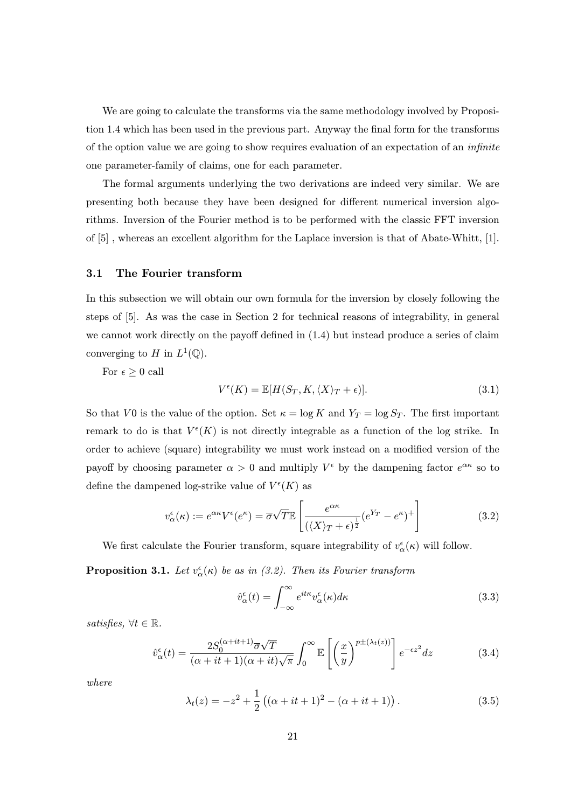We are going to calculate the transforms via the same methodology involved by Proposition 1.4 which has been used in the previous part. Anyway the final form for the transforms of the option value we are going to show requires evaluation of an expectation of an infinite one parameter-family of claims, one for each parameter.

The formal arguments underlying the two derivations are indeed very similar. We are presenting both because they have been designed for different numerical inversion algorithms. Inversion of the Fourier method is to be performed with the classic FFT inversion of [5] , whereas an excellent algorithm for the Laplace inversion is that of Abate-Whitt, [1].

#### 3.1 The Fourier transform

In this subsection we will obtain our own formula for the inversion by closely following the steps of [5]. As was the case in Section 2 for technical reasons of integrability, in general we cannot work directly on the payoff defined in (1.4) but instead produce a series of claim converging to H in  $L^1(\mathbb{Q})$ .

For  $\epsilon \geq 0$  call

$$
V^{\epsilon}(K) = \mathbb{E}[H(S_T, K, \langle X \rangle_T + \epsilon)]. \tag{3.1}
$$

So that V0 is the value of the option. Set  $\kappa = \log K$  and  $Y_T = \log S_T$ . The first important remark to do is that  $V^{\epsilon}(K)$  is not directly integrable as a function of the log strike. In order to achieve (square) integrability we must work instead on a modified version of the payoff by choosing parameter  $\alpha > 0$  and multiply  $V^{\epsilon}$  by the dampening factor  $e^{\alpha \kappa}$  so to define the dampened log-strike value of  $V^{\epsilon}(K)$  as

$$
v_{\alpha}^{\epsilon}(\kappa) := e^{\alpha \kappa} V^{\epsilon}(e^{\kappa}) = \overline{\sigma} \sqrt{T} \mathbb{E} \left[ \frac{e^{\alpha \kappa}}{(\langle X \rangle_T + \epsilon)^{\frac{1}{2}}} (e^{Y_T} - e^{\kappa})^+ \right]
$$
(3.2)

We first calculate the Fourier transform, square integrability of  $v^{\epsilon}_{\alpha}(\kappa)$  will follow.

**Proposition 3.1.** Let  $v^{\epsilon}_{\alpha}(\kappa)$  be as in (3.2). Then its Fourier transform

$$
\hat{v}_{\alpha}^{\epsilon}(t) = \int_{-\infty}^{\infty} e^{it\kappa} v_{\alpha}^{\epsilon}(\kappa) d\kappa
$$
\n(3.3)

satisfies,  $\forall t \in \mathbb{R}$ .

$$
\hat{v}_{\alpha}^{\epsilon}(t) = \frac{2S_0^{(\alpha+it+1)}\overline{\sigma}\sqrt{T}}{(\alpha+it+1)(\alpha+it)\sqrt{\pi}} \int_0^{\infty} \mathbb{E}\left[\left(\frac{x}{y}\right)^{p\pm(\lambda_t(z))}\right] e^{-\epsilon z^2} dz \tag{3.4}
$$

where

$$
\lambda_t(z) = -z^2 + \frac{1}{2} ((\alpha + it + 1)^2 - (\alpha + it + 1)).
$$
\n(3.5)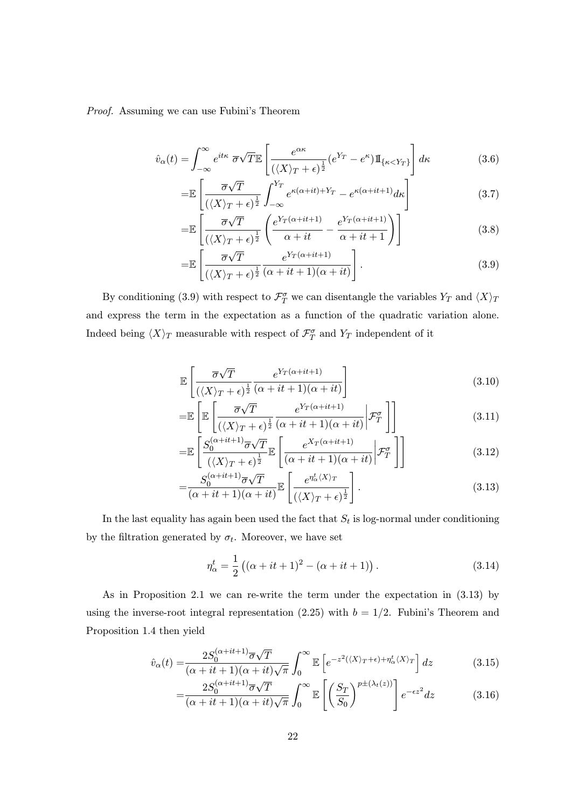Proof. Assuming we can use Fubini's Theorem

$$
\hat{v}_{\alpha}(t) = \int_{-\infty}^{\infty} e^{it\kappa} \ \overline{\sigma} \sqrt{T} \mathbb{E} \left[ \frac{e^{\alpha \kappa}}{(\langle X \rangle_T + \epsilon)^{\frac{1}{2}}} (e^{Y_T} - e^{\kappa}) \mathbb{I}_{\{\kappa < Y_T\}} \right] d\kappa \tag{3.6}
$$

$$
= \mathbb{E}\left[\frac{\overline{\sigma}\sqrt{T}}{(\langle X\rangle_T + \epsilon)^{\frac{1}{2}}} \int_{-\infty}^{Y_T} e^{\kappa(\alpha + it) + Y_T} - e^{\kappa(\alpha + it + 1)} d\kappa\right]
$$
(3.7)

$$
= \mathbb{E}\left[\frac{\overline{\sigma}\sqrt{T}}{(\langle X\rangle_T + \epsilon)^{\frac{1}{2}}} \left(\frac{e^{Y_T(\alpha + it + 1)}}{\alpha + it} - \frac{e^{Y_T(\alpha + it + 1)}}{\alpha + it + 1}\right)\right]
$$
(3.8)

$$
= \mathbb{E}\left[\frac{\overline{\sigma}\sqrt{T}}{(\langle X\rangle_T + \epsilon)^{\frac{1}{2}}} \frac{e^{Y_T(\alpha+it+1)}}{(\alpha+it+1)(\alpha+it)}\right].
$$
\n(3.9)

By conditioning (3.9) with respect to  $\mathcal{F}^{\sigma}_{T}$  we can disentangle the variables  $Y_{T}$  and  $\langle X \rangle_{T}$ and express the term in the expectation as a function of the quadratic variation alone. Indeed being  $\langle X \rangle_T$  measurable with respect of  $\mathcal{F}^{\sigma}_T$  and  $Y_T$  independent of it

$$
\mathbb{E}\left[\frac{\overline{\sigma}\sqrt{T}}{(\langle X\rangle_T + \epsilon)^{\frac{1}{2}}} \frac{e^{Y_T(\alpha + it + 1)}}{(\alpha + it + 1)(\alpha + it)}\right]
$$
(3.10)

$$
= \mathbb{E}\left[\mathbb{E}\left[\frac{\overline{\sigma}\sqrt{T}}{(\langle X\rangle_T + \epsilon)^{\frac{1}{2}}} \frac{e^{Y_T(\alpha + it + 1)}}{(\alpha + it + 1)(\alpha + it)} \bigg| \mathcal{F}_T^{\sigma}\right]\right]
$$
(3.11)

$$
= \mathbb{E}\left[\frac{S_0^{(\alpha+it+1)}\overline{\sigma}\sqrt{T}}{\left(\langle X\rangle_T + \epsilon\right)^{\frac{1}{2}}}\mathbb{E}\left[\frac{e^{X_T(\alpha+it+1)}}{(\alpha+it+1)(\alpha+it)}\bigg|\mathcal{F}_T^{\sigma}\right]\right]
$$
(3.12)

$$
=\frac{S_0^{(\alpha+it+1)}\overline{\sigma}\sqrt{T}}{(\alpha+it+1)(\alpha+it)}\mathbb{E}\left[\frac{e^{\eta_{\alpha}^t\langle X\rangle_T}}{(\langle X\rangle_T+\epsilon)^{\frac{1}{2}}}\right].
$$
\n(3.13)

In the last equality has again been used the fact that  $S_t$  is log-normal under conditioning by the filtration generated by  $\sigma_t$ . Moreover, we have set

$$
\eta_{\alpha}^{t} = \frac{1}{2} ((\alpha + it + 1)^{2} - (\alpha + it + 1)).
$$
\n(3.14)

As in Proposition 2.1 we can re-write the term under the expectation in (3.13) by using the inverse-root integral representation (2.25) with  $b = 1/2$ . Fubini's Theorem and Proposition 1.4 then yield

$$
\hat{v}_{\alpha}(t) = \frac{2S_0^{(\alpha+it+1)}\overline{\sigma}\sqrt{T}}{(\alpha+it+1)(\alpha+it)\sqrt{\pi}} \int_0^\infty \mathbb{E}\left[e^{-z^2(\langle X\rangle_T + \epsilon) + \eta_{\alpha}^t \langle X\rangle_T}\right] dz \tag{3.15}
$$

$$
=\frac{2S_0^{(\alpha+it+1)}\overline{\sigma}\sqrt{T}}{(\alpha+it+1)(\alpha+it)\sqrt{\pi}}\int_0^\infty \mathbb{E}\left[\left(\frac{S_T}{S_0}\right)^{p\pm(\lambda_t(z))}\right]e^{-\epsilon z^2}dz\tag{3.16}
$$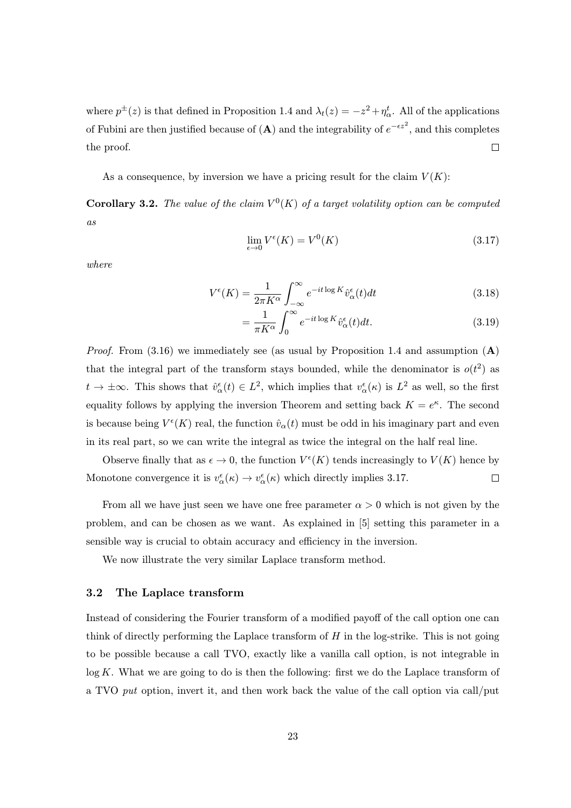where  $p^{\pm}(z)$  is that defined in Proposition 1.4 and  $\lambda_t(z) = -z^2 + \eta_{\alpha}^t$ . All of the applications of Fubini are then justified because of  $(A)$  and the integrability of  $e^{-\epsilon z^2}$ , and this completes  $\Box$ the proof.

As a consequence, by inversion we have a pricing result for the claim  $V(K)$ :

**Corollary 3.2.** The value of the claim  $V^0(K)$  of a target volatility option can be computed as

$$
\lim_{\epsilon \to 0} V^{\epsilon}(K) = V^{0}(K) \tag{3.17}
$$

where

$$
V^{\epsilon}(K) = \frac{1}{2\pi K^{\alpha}} \int_{-\infty}^{\infty} e^{-it \log K} \hat{v}_{\alpha}^{\epsilon}(t) dt
$$
 (3.18)

$$
=\frac{1}{\pi K^{\alpha}}\int_{0}^{\infty}e^{-it\log K}\hat{v}_{\alpha}^{\epsilon}(t)dt.
$$
\n(3.19)

*Proof.* From  $(3.16)$  we immediately see (as usual by Proposition 1.4 and assumption  $(A)$ that the integral part of the transform stays bounded, while the denominator is  $o(t^2)$  as  $t \to \pm \infty$ . This shows that  $\hat{v}^{\epsilon}_{\alpha}(t) \in L^2$ , which implies that  $v^{\epsilon}_{\alpha}(\kappa)$  is  $L^2$  as well, so the first equality follows by applying the inversion Theorem and setting back  $K = e^{\kappa}$ . The second is because being  $V^{\epsilon}(K)$  real, the function  $\hat{v}_{\alpha}(t)$  must be odd in his imaginary part and even in its real part, so we can write the integral as twice the integral on the half real line.

Observe finally that as  $\epsilon \to 0$ , the function  $V^{\epsilon}(K)$  tends increasingly to  $V(K)$  hence by Monotone convergence it is  $v^{\epsilon}_{\alpha}(\kappa) \to v^{\epsilon}_{\alpha}(\kappa)$  which directly implies 3.17.  $\Box$ 

From all we have just seen we have one free parameter  $\alpha > 0$  which is not given by the problem, and can be chosen as we want. As explained in [5] setting this parameter in a sensible way is crucial to obtain accuracy and efficiency in the inversion.

We now illustrate the very similar Laplace transform method.

### 3.2 The Laplace transform

Instead of considering the Fourier transform of a modified payoff of the call option one can think of directly performing the Laplace transform of  $H$  in the log-strike. This is not going to be possible because a call TVO, exactly like a vanilla call option, is not integrable in log K. What we are going to do is then the following: first we do the Laplace transform of a TVO put option, invert it, and then work back the value of the call option via call/put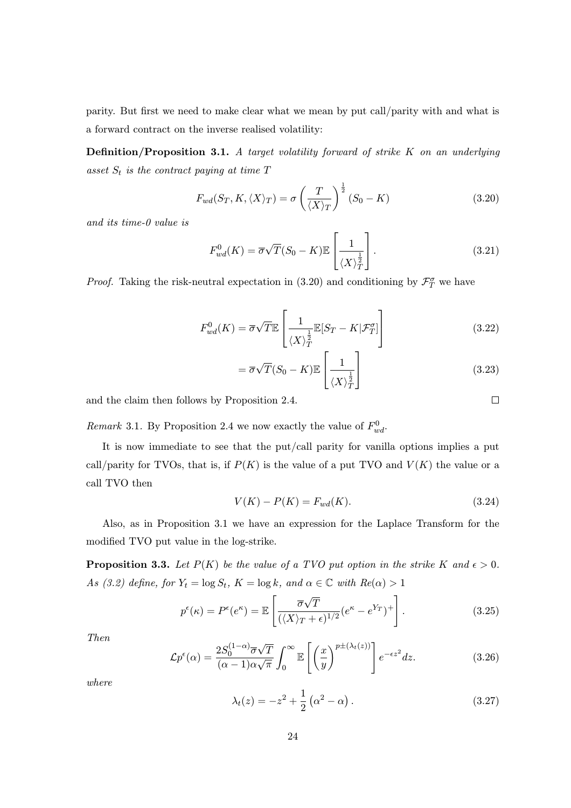parity. But first we need to make clear what we mean by put call/parity with and what is a forward contract on the inverse realised volatility:

Definition/Proposition 3.1. A target volatility forward of strike K on an underlying asset  $S_t$  is the contract paying at time  $T$ 

$$
F_{wd}(S_T, K, \langle X \rangle_T) = \sigma \left(\frac{T}{\langle X \rangle_T}\right)^{\frac{1}{2}} (S_0 - K)
$$
\n(3.20)

and its time-0 value is

$$
F_{wd}^0(K) = \overline{\sigma}\sqrt{T}(S_0 - K)\mathbb{E}\left[\frac{1}{\langle X \rangle \frac{1}{T}}\right].
$$
\n(3.21)

*Proof.* Taking the risk-neutral expectation in (3.20) and conditioning by  $\mathcal{F}_T^{\sigma}$  we have

$$
F_{wd}^{0}(K) = \overline{\sigma}\sqrt{T}\mathbb{E}\left[\frac{1}{\langle X \rangle_T^{\frac{1}{2}}} \mathbb{E}[S_T - K | \mathcal{F}_T^{\sigma}] \right]
$$
(3.22)

$$
= \overline{\sigma}\sqrt{T}(S_0 - K)\mathbb{E}\left[\frac{1}{\langle X \rangle_T^{\frac{1}{2}}}\right]
$$
(3.23)

and the claim then follows by Proposition 2.4.

Remark 3.1. By Proposition 2.4 we now exactly the value of  $F_{wd}^0$ .

It is now immediate to see that the put/call parity for vanilla options implies a put call/parity for TVOs, that is, if  $P(K)$  is the value of a put TVO and  $V(K)$  the value or a call TVO then

$$
V(K) - P(K) = F_{wd}(K).
$$
\n(3.24)

Also, as in Proposition 3.1 we have an expression for the Laplace Transform for the modified TVO put value in the log-strike.

**Proposition 3.3.** Let  $P(K)$  be the value of a TVO put option in the strike K and  $\epsilon > 0$ . As (3.2) define, for  $Y_t = \log S_t$ ,  $K = \log k$ , and  $\alpha \in \mathbb{C}$  with  $Re(\alpha) > 1$ 

$$
p^{\epsilon}(\kappa) = P^{\epsilon}(e^{\kappa}) = \mathbb{E}\left[\frac{\overline{\sigma}\sqrt{T}}{(\langle X \rangle_T + \epsilon)^{1/2}}(e^{\kappa} - e^{Y_T})^+\right].
$$
 (3.25)

Then

$$
\mathcal{L}p^{\epsilon}(\alpha) = \frac{2S_0^{(1-\alpha)}\overline{\sigma}\sqrt{T}}{(\alpha-1)\alpha\sqrt{\pi}} \int_0^{\infty} \mathbb{E}\left[\left(\frac{x}{y}\right)^{p\pm(\lambda_t(z))}\right] e^{-\epsilon z^2} dz.
$$
 (3.26)

where

$$
\lambda_t(z) = -z^2 + \frac{1}{2} \left( \alpha^2 - \alpha \right). \tag{3.27}
$$

 $\Box$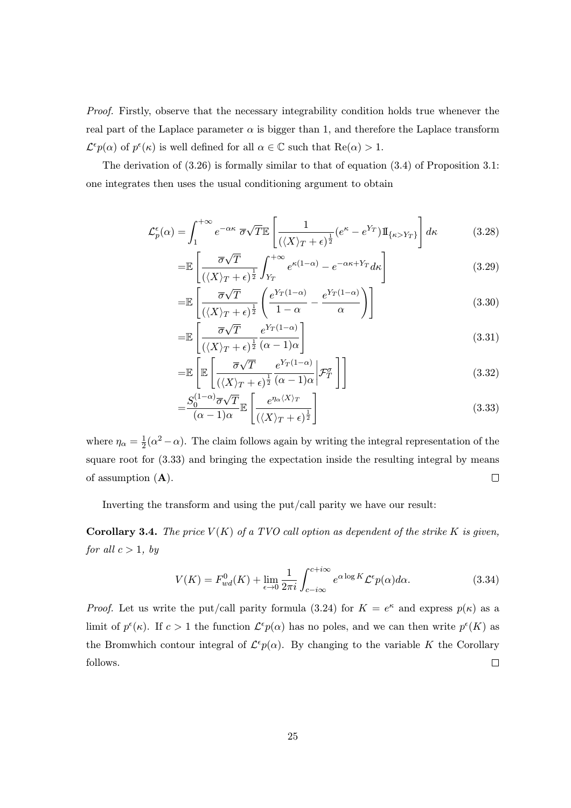Proof. Firstly, observe that the necessary integrability condition holds true whenever the real part of the Laplace parameter  $\alpha$  is bigger than 1, and therefore the Laplace transform  $\mathcal{L}^{\epsilon} p(\alpha)$  of  $p^{\epsilon}(\kappa)$  is well defined for all  $\alpha \in \mathbb{C}$  such that  $\text{Re}(\alpha) > 1$ .

The derivation of (3.26) is formally similar to that of equation (3.4) of Proposition 3.1: one integrates then uses the usual conditioning argument to obtain

$$
\mathcal{L}_p^{\epsilon}(\alpha) = \int_1^{+\infty} e^{-\alpha \kappa} \, \overline{\sigma} \sqrt{T} \mathbb{E} \left[ \frac{1}{(\langle X \rangle_T + \epsilon)^{\frac{1}{2}}} (e^{\kappa} - e^{Y_T}) \mathbb{I}_{\{\kappa > Y_T\}} \right] d\kappa \tag{3.28}
$$

$$
= \mathbb{E}\left[\frac{\overline{\sigma}\sqrt{T}}{(\langle X\rangle_T + \epsilon)^{\frac{1}{2}}} \int_{Y_T}^{+\infty} e^{\kappa(1-\alpha)} - e^{-\alpha\kappa + Y_T} d\kappa\right]
$$
(3.29)

$$
= \mathbb{E}\left[\frac{\overline{\sigma}\sqrt{T}}{(\langle X\rangle_T + \epsilon)^{\frac{1}{2}}} \left(\frac{e^{Y_T(1-\alpha)}}{1-\alpha} - \frac{e^{Y_T(1-\alpha)}}{\alpha}\right)\right]
$$
(3.30)

$$
=\mathbb{E}\left[\frac{\overline{\sigma}\sqrt{T}}{(\langle X\rangle_T + \epsilon)^{\frac{1}{2}}}\frac{e^{Y_T(1-\alpha)}}{(\alpha-1)\alpha}\right]
$$
(3.31)

$$
= \mathbb{E}\left[\mathbb{E}\left[\frac{\overline{\sigma}\sqrt{T}}{(\langle X\rangle_T + \epsilon)^{\frac{1}{2}}} \frac{e^{Y_T(1-\alpha)}}{(\alpha-1)\alpha} \bigg| \mathcal{F}_T^{\sigma}\right]\right]
$$
(3.32)

$$
=\frac{S_0^{(1-\alpha)}\overline{\sigma}\sqrt{T}}{(\alpha-1)\alpha}\mathbb{E}\left[\frac{e^{\eta_\alpha(X)}\tau}{(\langle X\rangle_T+\epsilon)^{\frac{1}{2}}}\right]
$$
(3.33)

where  $\eta_{\alpha} = \frac{1}{2}(\alpha^2 - \alpha)$ . The claim follows again by writing the integral representation of the square root for (3.33) and bringing the expectation inside the resulting integral by means  $\Box$ of assumption  $(A)$ .

Inverting the transform and using the put/call parity we have our result:

**Corollary 3.4.** The price  $V(K)$  of a TVO call option as dependent of the strike K is given, for all  $c > 1$ , by

$$
V(K) = F_{wd}^{0}(K) + \lim_{\epsilon \to 0} \frac{1}{2\pi i} \int_{c-i\infty}^{c+i\infty} e^{\alpha \log K} \mathcal{L}^{\epsilon} p(\alpha) d\alpha.
$$
 (3.34)

*Proof.* Let us write the put/call parity formula (3.24) for  $K = e^{\kappa}$  and express  $p(\kappa)$  as a limit of  $p^{\epsilon}(\kappa)$ . If  $c > 1$  the function  $\mathcal{L}^{\epsilon}p(\alpha)$  has no poles, and we can then write  $p^{\epsilon}(K)$  as the Bromwhich contour integral of  $\mathcal{L}^{\epsilon}p(\alpha)$ . By changing to the variable K the Corollary follows.  $\Box$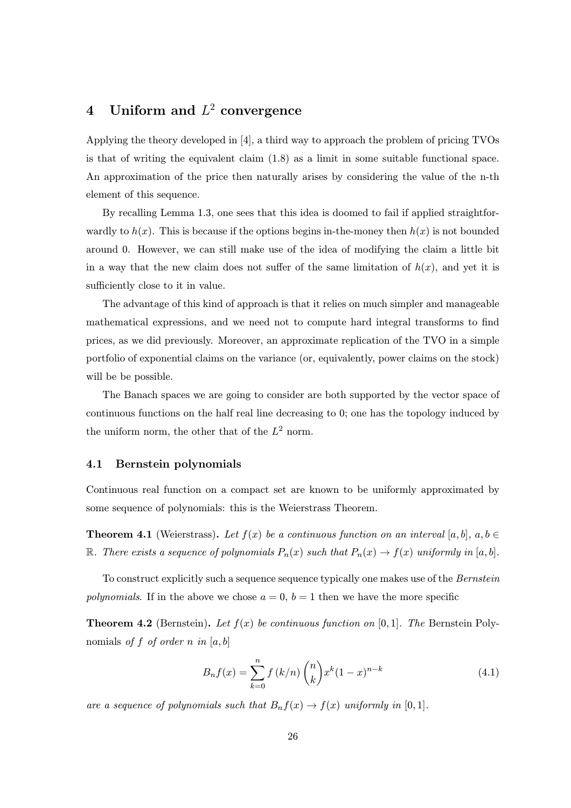# 4 Uniform and  $L^2$  convergence

Applying the theory developed in [4], a third way to approach the problem of pricing TVOs is that of writing the equivalent claim (1.8) as a limit in some suitable functional space. An approximation of the price then naturally arises by considering the value of the n-th element of this sequence.

By recalling Lemma 1.3, one sees that this idea is doomed to fail if applied straightforwardly to  $h(x)$ . This is because if the options begins in-the-money then  $h(x)$  is not bounded around 0. However, we can still make use of the idea of modifying the claim a little bit in a way that the new claim does not suffer of the same limitation of  $h(x)$ , and yet it is sufficiently close to it in value.

The advantage of this kind of approach is that it relies on much simpler and manageable mathematical expressions, and we need not to compute hard integral transforms to find prices, as we did previously. Moreover, an approximate replication of the TVO in a simple portfolio of exponential claims on the variance (or, equivalently, power claims on the stock) will be be possible.

The Banach spaces we are going to consider are both supported by the vector space of continuous functions on the half real line decreasing to 0; one has the topology induced by the uniform norm, the other that of the  $L^2$  norm.

#### 4.1 Bernstein polynomials

Continuous real function on a compact set are known to be uniformly approximated by some sequence of polynomials: this is the Weierstrass Theorem.

**Theorem 4.1** (Weierstrass). Let  $f(x)$  be a continuous function on an interval [a, b],  $a, b \in$ R. There exists a sequence of polynomials  $P_n(x)$  such that  $P_n(x) \to f(x)$  uniformly in [a, b].

To construct explicitly such a sequence sequence typically one makes use of the Bernstein polynomials. If in the above we chose  $a = 0$ ,  $b = 1$  then we have the more specific

**Theorem 4.2** (Bernstein). Let  $f(x)$  be continuous function on [0, 1]. The Bernstein Polynomials of f of order n in  $[a, b]$ 

$$
B_n f(x) = \sum_{k=0}^n f(k/n) {n \choose k} x^k (1-x)^{n-k}
$$
 (4.1)

are a sequence of polynomials such that  $B_n f(x) \to f(x)$  uniformly in [0, 1].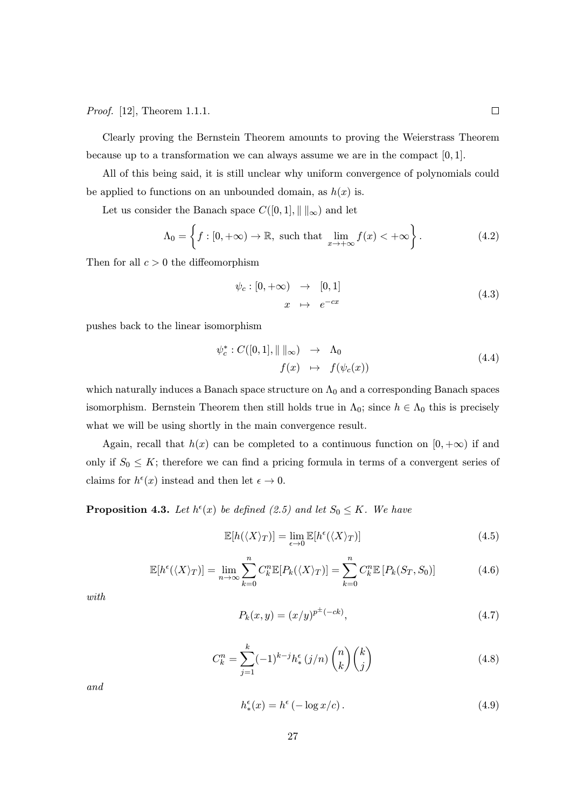Proof. [12], Theorem 1.1.1.

Clearly proving the Bernstein Theorem amounts to proving the Weierstrass Theorem because up to a transformation we can always assume we are in the compact  $[0, 1]$ .

All of this being said, it is still unclear why uniform convergence of polynomials could be applied to functions on an unbounded domain, as  $h(x)$  is.

Let us consider the Banach space  $C([0,1], \|\ \|_{\infty})$  and let

$$
\Lambda_0 = \left\{ f : [0, +\infty) \to \mathbb{R}, \text{ such that } \lim_{x \to +\infty} f(x) < +\infty \right\}. \tag{4.2}
$$

Then for all  $c > 0$  the diffeomorphism

$$
\psi_c : [0, +\infty) \rightarrow [0, 1]
$$
  

$$
x \mapsto e^{-cx}
$$
 (4.3)

pushes back to the linear isomorphism

$$
\psi_c^* : C([0,1], \|\ \|_{\infty}) \rightarrow \Lambda_0
$$
  

$$
f(x) \rightarrow f(\psi_c(x))
$$
 (4.4)

which naturally induces a Banach space structure on  $\Lambda_0$  and a corresponding Banach spaces isomorphism. Bernstein Theorem then still holds true in  $\Lambda_0$ ; since  $h \in \Lambda_0$  this is precisely what we will be using shortly in the main convergence result.

Again, recall that  $h(x)$  can be completed to a continuous function on  $[0, +\infty)$  if and only if  $S_0 \leq K$ ; therefore we can find a pricing formula in terms of a convergent series of claims for  $h^{\epsilon}(x)$  instead and then let  $\epsilon \to 0$ .

**Proposition 4.3.** Let  $h^{\epsilon}(x)$  be defined (2.5) and let  $S_0 \leq K$ . We have

$$
\mathbb{E}[h(\langle X \rangle_T)] = \lim_{\epsilon \to 0} \mathbb{E}[h^{\epsilon}(\langle X \rangle_T)] \tag{4.5}
$$

$$
\mathbb{E}[h^{\epsilon}(\langle X \rangle_T)] = \lim_{n \to \infty} \sum_{k=0}^{n} C_k^n \mathbb{E}[P_k(\langle X \rangle_T)] = \sum_{k=0}^{n} C_k^n \mathbb{E}[P_k(S_T, S_0)] \tag{4.6}
$$

with

$$
P_k(x, y) = (x/y)^{p^{\pm}(-ck)},
$$
\n(4.7)

$$
C_k^n = \sum_{j=1}^k (-1)^{k-j} h_*^{\epsilon}(j/n) {n \choose k}{k \choose j}
$$
 (4.8)

and

$$
h^{\epsilon}_{*}(x) = h^{\epsilon}(-\log x/c). \tag{4.9}
$$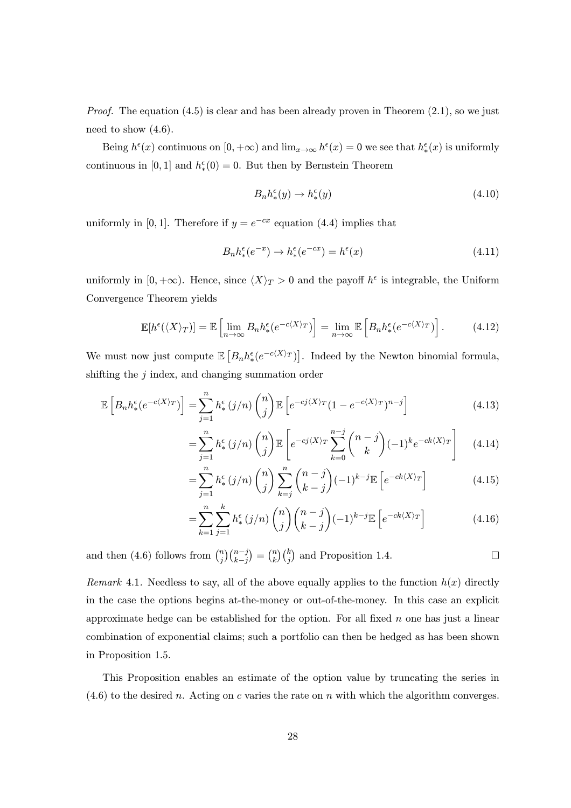*Proof.* The equation  $(4.5)$  is clear and has been already proven in Theorem  $(2.1)$ , so we just need to show  $(4.6)$ .

Being  $h^{\epsilon}(x)$  continuous on  $[0, +\infty)$  and  $\lim_{x\to\infty} h^{\epsilon}(x) = 0$  we see that  $h^{\epsilon}(x)$  is uniformly continuous in [0, 1] and  $h_*^{\epsilon}(0) = 0$ . But then by Bernstein Theorem

$$
B_n h_*^{\epsilon}(y) \to h_*^{\epsilon}(y) \tag{4.10}
$$

uniformly in [0, 1]. Therefore if  $y = e^{-cx}$  equation (4.4) implies that

$$
B_n h^\epsilon_*(e^{-x}) \to h^\epsilon_*(e^{-cx}) = h^\epsilon(x) \tag{4.11}
$$

uniformly in  $[0, +\infty)$ . Hence, since  $\langle X \rangle_T > 0$  and the payoff  $h^{\epsilon}$  is integrable, the Uniform Convergence Theorem yields

$$
\mathbb{E}[h^{\epsilon}(\langle X \rangle_T)] = \mathbb{E}\left[\lim_{n \to \infty} B_n h^{\epsilon}_*(e^{-c\langle X \rangle_T})\right] = \lim_{n \to \infty} \mathbb{E}\left[B_n h^{\epsilon}_*(e^{-c\langle X \rangle_T})\right].\tag{4.12}
$$

We must now just compute  $\mathbb{E}\left[B_n h_*^{\epsilon}(e^{-c\langle X \rangle_T})\right]$ . Indeed by the Newton binomial formula, shifting the  $j$  index, and changing summation order

$$
\mathbb{E}\left[B_n h^{\epsilon}_*(e^{-c\langle X\rangle_T})\right] = \sum_{j=1}^n h^{\epsilon}_*(j/n) {n \choose j} \mathbb{E}\left[e^{-cj\langle X\rangle_T}(1 - e^{-c\langle X\rangle_T})^{n-j}\right]
$$
(4.13)

$$
=\sum_{j=1}^{n} h_{*}^{\epsilon}(j/n) {n \choose j} \mathbb{E}\left[e^{-cj\langle X \rangle_{T}} \sum_{k=0}^{n-j} {n-j \choose k} (-1)^{k} e^{-ck\langle X \rangle_{T}}\right]
$$
(4.14)

$$
=\sum_{j=1}^{n} h_{*}^{\epsilon}(j/n) {n \choose j} \sum_{k=j}^{n} {n-j \choose k-j} (-1)^{k-j} \mathbb{E}\left[e^{-ck\langle X \rangle_{T}}\right]
$$
(4.15)

$$
=\sum_{k=1}^{n}\sum_{j=1}^{k}h_{*}^{\epsilon}(j/n)\binom{n}{j}\binom{n-j}{k-j}(-1)^{k-j}\mathbb{E}\left[e^{-ck\langle X\rangle_{T}}\right]
$$
(4.16)

and then (4.6) follows from  $\binom{n}{j}\binom{n-j}{k-j}$  $= {n \choose k} {k \choose j}$  and Proposition 1.4.  $\Box$  $k-j$ 

Remark 4.1. Needless to say, all of the above equally applies to the function  $h(x)$  directly in the case the options begins at-the-money or out-of-the-money. In this case an explicit approximate hedge can be established for the option. For all fixed  $n$  one has just a linear combination of exponential claims; such a portfolio can then be hedged as has been shown in Proposition 1.5.

This Proposition enables an estimate of the option value by truncating the series in  $(4.6)$  to the desired n. Acting on c varies the rate on n with which the algorithm converges.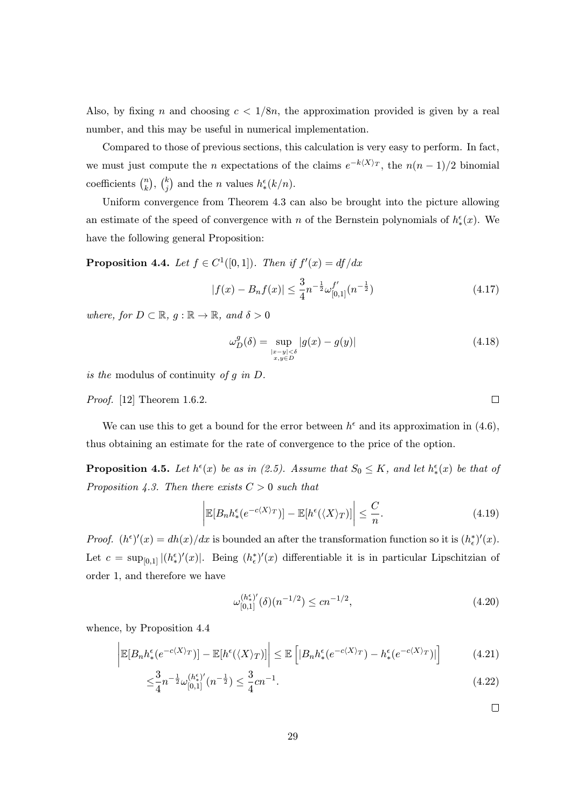Also, by fixing n and choosing  $c < 1/8n$ , the approximation provided is given by a real number, and this may be useful in numerical implementation.

Compared to those of previous sections, this calculation is very easy to perform. In fact, we must just compute the n expectations of the claims  $e^{-k\langle X\rangle_T}$ , the  $n(n-1)/2$  binomial coefficients  $\binom{n}{k}$ ,  $\binom{k}{j}$  and the *n* values  $h_*^{\epsilon}(k/n)$ .

Uniform convergence from Theorem 4.3 can also be brought into the picture allowing an estimate of the speed of convergence with n of the Bernstein polynomials of  $h^{\epsilon}_*(x)$ . We have the following general Proposition:

**Proposition 4.4.** Let  $f \in C^1([0,1])$ . Then if  $f'(x) = df/dx$ 

$$
|f(x) - B_n f(x)| \le \frac{3}{4} n^{-\frac{1}{2}} \omega_{[0,1]}^{f'}(n^{-\frac{1}{2}})
$$
\n(4.17)

where, for  $D \subset \mathbb{R}$ ,  $g : \mathbb{R} \to \mathbb{R}$ , and  $\delta > 0$ 

$$
\omega_D^g(\delta) = \sup_{\substack{|x - y| < \delta \\ x, y \in D}} |g(x) - g(y)| \tag{4.18}
$$

is the modulus of continuity of  $g$  in  $D$ .

Proof. [12] Theorem 1.6.2.

We can use this to get a bound for the error between  $h^{\epsilon}$  and its approximation in (4.6), thus obtaining an estimate for the rate of convergence to the price of the option.

**Proposition 4.5.** Let  $h^{\epsilon}(x)$  be as in (2.5). Assume that  $S_0 \leq K$ , and let  $h^{\epsilon}_*(x)$  be that of Proposition 4.3. Then there exists  $C > 0$  such that

$$
\left| \mathbb{E}[B_n h^\epsilon_*(e^{-c\langle X \rangle_T})] - \mathbb{E}[h^\epsilon(\langle X \rangle_T)] \right| \leq \frac{C}{n}.\tag{4.19}
$$

*Proof.*  $(h^{\epsilon})'(x) = dh(x)/dx$  is bounded an after the transformation function so it is  $(h_{\epsilon}^{*})'(x)$ . Let  $c = \sup_{[0,1]} |(h_*^{\epsilon})'(x)|$ . Being  $(h_*^*)'(x)$  differentiable it is in particular Lipschitzian of order 1, and therefore we have

$$
\omega_{[0,1]}^{(h^{\epsilon}_{\ast})'}(\delta)(n^{-1/2}) \le cn^{-1/2},\tag{4.20}
$$

whence, by Proposition 4.4

$$
\left| \mathbb{E}[B_n h^\epsilon_*(e^{-c\langle X \rangle_T})] - \mathbb{E}[h^\epsilon(\langle X \rangle_T)] \right| \leq \mathbb{E}\left[ |B_n h^\epsilon_*(e^{-c\langle X \rangle_T}) - h^\epsilon_*(e^{-c\langle X \rangle_T})| \right] \tag{4.21}
$$

$$
\leq \frac{3}{4}n^{-\frac{1}{2}}\omega_{[0,1]}^{(h^{\epsilon}_{*})'}(n^{-\frac{1}{2}}) \leq \frac{3}{4}cn^{-1}.\tag{4.22}
$$

 $\Box$ 

 $\Box$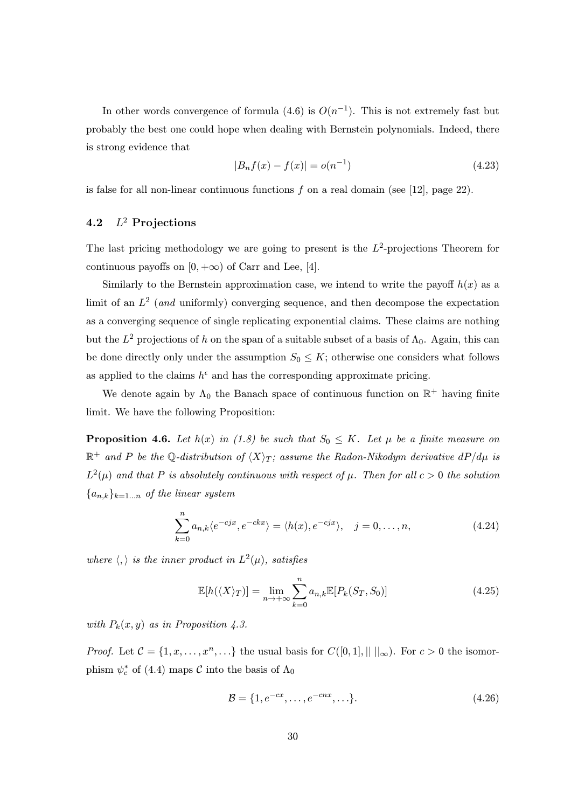In other words convergence of formula (4.6) is  $O(n^{-1})$ . This is not extremely fast but probably the best one could hope when dealing with Bernstein polynomials. Indeed, there is strong evidence that

$$
|B_n f(x) - f(x)| = o(n^{-1})
$$
\n(4.23)

is false for all non-linear continuous functions  $f$  on a real domain (see [12], page 22).

# 4.2  $L^2$  Projections

The last pricing methodology we are going to present is the  $L^2$ -projections Theorem for continuous payoffs on  $[0, +\infty)$  of Carr and Lee, [4].

Similarly to the Bernstein approximation case, we intend to write the payoff  $h(x)$  as a limit of an  $L^2$  (and uniformly) converging sequence, and then decompose the expectation as a converging sequence of single replicating exponential claims. These claims are nothing but the  $L^2$  projections of h on the span of a suitable subset of a basis of  $\Lambda_0$ . Again, this can be done directly only under the assumption  $S_0 \leq K$ ; otherwise one considers what follows as applied to the claims  $h^{\epsilon}$  and has the corresponding approximate pricing.

We denote again by  $\Lambda_0$  the Banach space of continuous function on  $\mathbb{R}^+$  having finite limit. We have the following Proposition:

**Proposition 4.6.** Let  $h(x)$  in (1.8) be such that  $S_0 \leq K$ . Let  $\mu$  be a finite measure on  $\mathbb{R}^+$  and P be the Q-distribution of  $\langle X \rangle_T$ ; assume the Radon-Nikodym derivative dP/d $\mu$  is  $L^2(\mu)$  and that P is absolutely continuous with respect of  $\mu$ . Then for all  $c > 0$  the solution  ${a_{n,k}}_{k=1...n}$  of the linear system

$$
\sum_{k=0}^{n} a_{n,k} \langle e^{-c j x}, e^{-c k x} \rangle = \langle h(x), e^{-c j x} \rangle, \quad j = 0, \dots, n,
$$
\n(4.24)

where  $\langle , \rangle$  is the inner product in  $L^2(\mu)$ , satisfies

$$
\mathbb{E}[h(\langle X \rangle_T)] = \lim_{n \to +\infty} \sum_{k=0}^n a_{n,k} \mathbb{E}[P_k(S_T, S_0)] \tag{4.25}
$$

with  $P_k(x, y)$  as in Proposition 4.3.

*Proof.* Let  $C = \{1, x, \ldots, x^n, \ldots\}$  the usual basis for  $C([0, 1], || ||_{\infty})$ . For  $c > 0$  the isomorphism  $\psi_c^*$  of (4.4) maps  $\mathcal C$  into the basis of  $\Lambda_0$ 

$$
\mathcal{B} = \{1, e^{-cx}, \dots, e^{-cnx}, \dots\}.
$$
\n(4.26)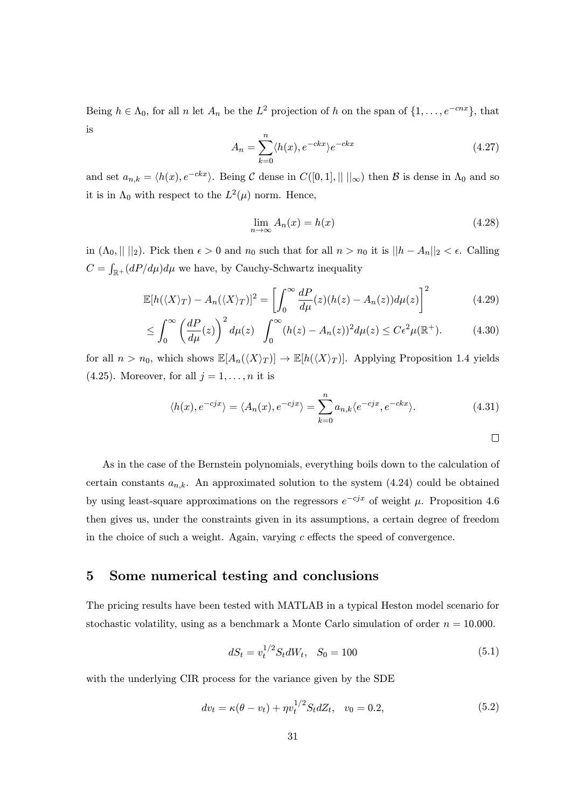Being  $h \in \Lambda_0$ , for all n let  $A_n$  be the  $L^2$  projection of h on the span of  $\{1, \ldots, e^{-cnx}\}\$ , that is

$$
A_n = \sum_{k=0}^{n} \langle h(x), e^{-ckx} \rangle e^{-ckx}
$$
\n(4.27)

and set  $a_{n,k} = \langle h(x), e^{-ckx} \rangle$ . Being C dense in  $C([0, 1], || ||_{\infty})$  then B is dense in  $\Lambda_0$  and so it is in  $\Lambda_0$  with respect to the  $L^2(\mu)$  norm. Hence,

$$
\lim_{n \to \infty} A_n(x) = h(x) \tag{4.28}
$$

in  $(\Lambda_0, ||||_2)$ . Pick then  $\epsilon > 0$  and  $n_0$  such that for all  $n > n_0$  it is  $||h - A_n||_2 < \epsilon$ . Calling  $C = \int_{\mathbb{R}^+} (dP/d\mu) d\mu$  we have, by Cauchy-Schwartz inequality

$$
\mathbb{E}[h(\langle X\rangle_T) - A_n(\langle X\rangle_T)]^2 = \left[\int_0^\infty \frac{dP}{d\mu}(z)(h(z) - A_n(z))d\mu(z)\right]^2\tag{4.29}
$$

$$
\leq \int_0^\infty \left(\frac{dP}{d\mu}(z)\right)^2 d\mu(z) \int_0^\infty (h(z) - A_n(z))^2 d\mu(z) \leq C\epsilon^2 \mu(\mathbb{R}^+). \tag{4.30}
$$

for all  $n > n_0$ , which shows  $\mathbb{E}[A_n(\langle X\rangle_T)] \to \mathbb{E}[h(\langle X\rangle_T)]$ . Applying Proposition 1.4 yields (4.25). Moreover, for all  $j = 1, \ldots, n$  it is

$$
\langle h(x), e^{-cjx} \rangle = \langle A_n(x), e^{-cjx} \rangle = \sum_{k=0}^{n} a_{n,k} \langle e^{-cjx}, e^{-ckx} \rangle.
$$
 (4.31)

$$
\Box
$$

As in the case of the Bernstein polynomials, everything boils down to the calculation of certain constants  $a_{n,k}$ . An approximated solution to the system (4.24) could be obtained by using least-square approximations on the regressors  $e^{-c_jx}$  of weight  $\mu$ . Proposition 4.6 then gives us, under the constraints given in its assumptions, a certain degree of freedom in the choice of such a weight. Again, varying  $c$  effects the speed of convergence.

# 5 Some numerical testing and conclusions

The pricing results have been tested with MATLAB in a typical Heston model scenario for stochastic volatility, using as a benchmark a Monte Carlo simulation of order  $n = 10.000$ .

$$
dS_t = v_t^{1/2} S_t dW_t, \quad S_0 = 100 \tag{5.1}
$$

with the underlying CIR process for the variance given by the SDE

$$
dv_t = \kappa(\theta - v_t) + \eta v_t^{1/2} S_t dZ_t, \quad v_0 = 0.2,
$$
\n(5.2)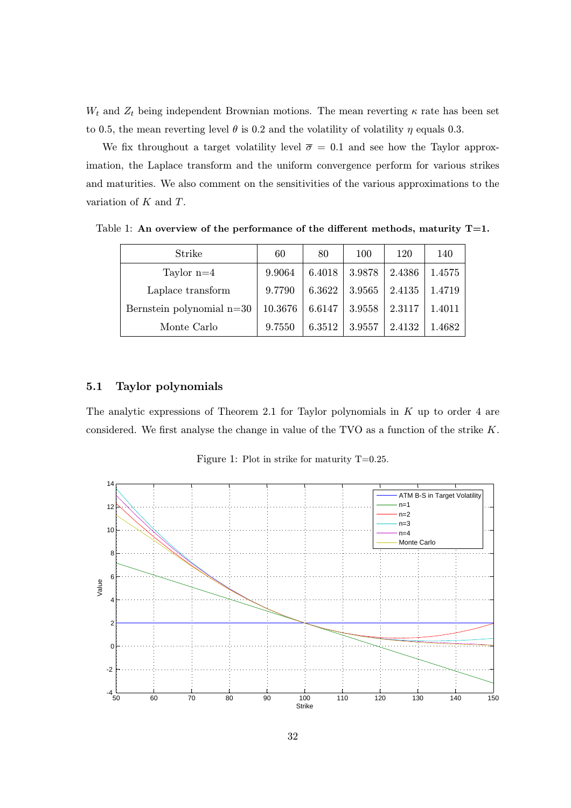$W_t$  and  $Z_t$  being independent Brownian motions. The mean reverting  $\kappa$  rate has been set to 0.5, the mean reverting level  $\theta$  is 0.2 and the volatility of volatility  $\eta$  equals 0.3.

We fix throughout a target volatility level  $\bar{\sigma} = 0.1$  and see how the Taylor approximation, the Laplace transform and the uniform convergence perform for various strikes and maturities. We also comment on the sensitivities of the various approximations to the variation of K and T.

Strike 1 60 80 100 120 140 Taylor n=4 9.9064 6.4018 3.9878 2.4386 1.4575 Laplace transform 9.7790 6.3622 3.9565 2.4135 1.4719 Bernstein polynomial n=30 | 10.3676 | 6.6147 | 3.9558 | 2.3117 | 1.4011 Monte Carlo 9.7550 6.3512 3.9557 2.4132 1.4682

Table 1: An overview of the performance of the different methods, maturity  $T=1$ .

## 5.1 Taylor polynomials

The analytic expressions of Theorem 2.1 for Taylor polynomials in  $K$  up to order 4 are considered. We first analyse the change in value of the TVO as a function of the strike K.

Figure 1: Plot in strike for maturity T=0.25.

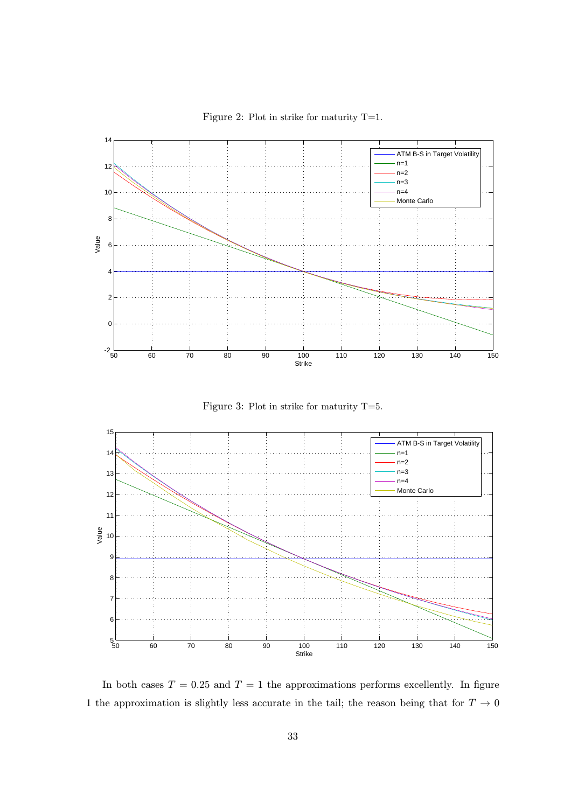

Figure 2: Plot in strike for maturity T=1.

Figure 3: Plot in strike for maturity T=5.



In both cases  $T = 0.25$  and  $T = 1$  the approximations performs excellently. In figure 1 the approximation is slightly less accurate in the tail; the reason being that for  $T \rightarrow 0$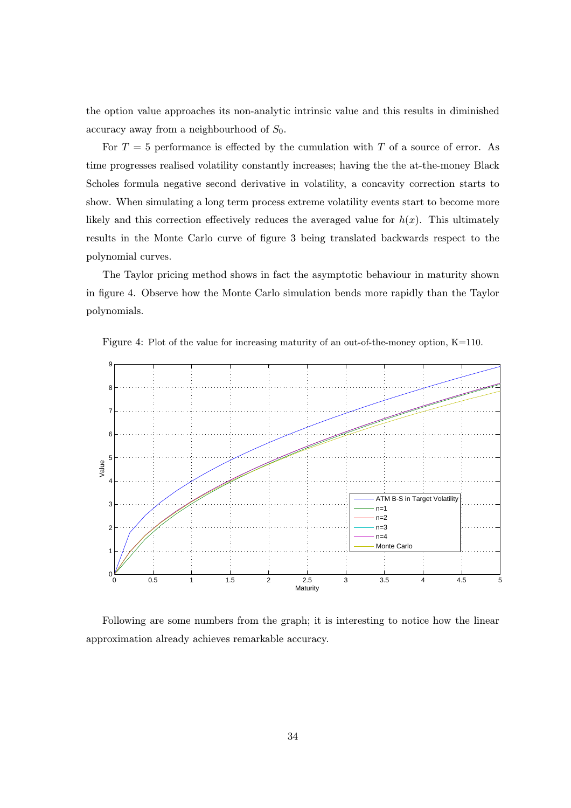the option value approaches its non-analytic intrinsic value and this results in diminished accuracy away from a neighbourhood of  $S_0$ .

For  $T = 5$  performance is effected by the cumulation with T of a source of error. As time progresses realised volatility constantly increases; having the the at-the-money Black Scholes formula negative second derivative in volatility, a concavity correction starts to show. When simulating a long term process extreme volatility events start to become more likely and this correction effectively reduces the averaged value for  $h(x)$ . This ultimately results in the Monte Carlo curve of figure 3 being translated backwards respect to the polynomial curves.

The Taylor pricing method shows in fact the asymptotic behaviour in maturity shown in figure 4. Observe how the Monte Carlo simulation bends more rapidly than the Taylor polynomials.



Figure 4: Plot of the value for increasing maturity of an out-of-the-money option, K=110.

Following are some numbers from the graph; it is interesting to notice how the linear approximation already achieves remarkable accuracy.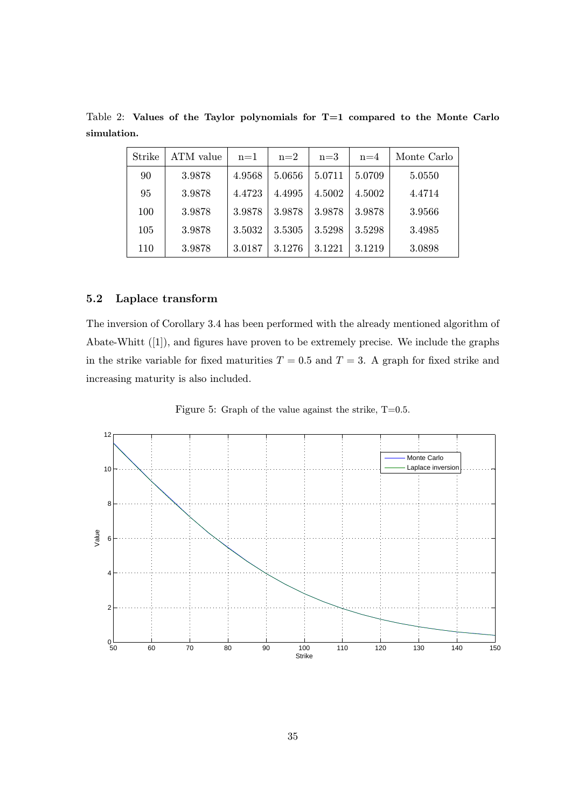| Strike | ATM value | $n=1$  | $n=2$  | $n=3$  | $n=4$  | Monte Carlo |
|--------|-----------|--------|--------|--------|--------|-------------|
| 90     | 3.9878    | 4.9568 | 5.0656 | 5.0711 | 5.0709 | 5.0550      |
| 95     | 3.9878    | 4.4723 | 4.4995 | 4.5002 | 4.5002 | 4.4714      |
| 100    | 3.9878    | 3.9878 | 3.9878 | 3.9878 | 3.9878 | 3.9566      |
| 105    | 3.9878    | 3.5032 | 3.5305 | 3.5298 | 3.5298 | 3.4985      |
| 110    | 3.9878    | 3.0187 | 3.1276 | 3.1221 | 3.1219 | 3.0898      |

Table 2: Values of the Taylor polynomials for T=1 compared to the Monte Carlo simulation.

## 5.2 Laplace transform

The inversion of Corollary 3.4 has been performed with the already mentioned algorithm of Abate-Whitt ([1]), and figures have proven to be extremely precise. We include the graphs in the strike variable for fixed maturities  $T = 0.5$  and  $T = 3$ . A graph for fixed strike and increasing maturity is also included.

Figure 5: Graph of the value against the strike,  $T=0.5$ .

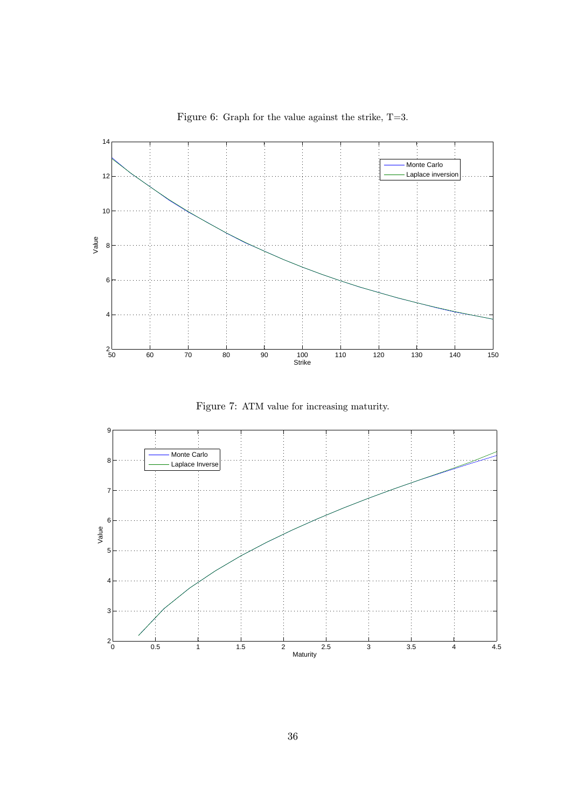

Figure 6: Graph for the value against the strike, T=3.

Figure 7: ATM value for increasing maturity.

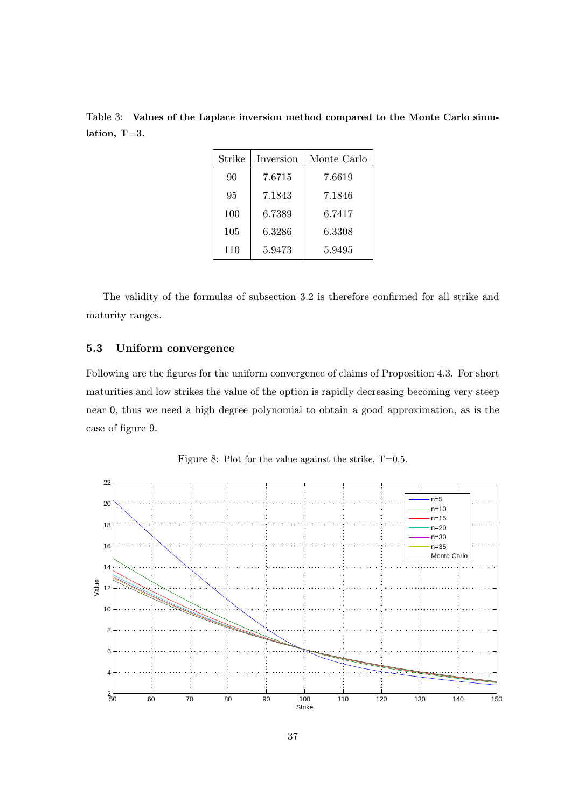Table 3: Values of the Laplace inversion method compared to the Monte Carlo simulation, T=3.

| Strike | Inversion | Monte Carlo |  |  |
|--------|-----------|-------------|--|--|
| 90     | 7.6715    | 7.6619      |  |  |
| 95     | 7.1843    | 7.1846      |  |  |
| 100    | 6.7389    | 6.7417      |  |  |
| 105    | 6.3286    | 6.3308      |  |  |
| 110    | 5.9473    | 5.9495      |  |  |

The validity of the formulas of subsection 3.2 is therefore confirmed for all strike and maturity ranges.

## 5.3 Uniform convergence

Following are the figures for the uniform convergence of claims of Proposition 4.3. For short maturities and low strikes the value of the option is rapidly decreasing becoming very steep near 0, thus we need a high degree polynomial to obtain a good approximation, as is the case of figure 9.

Figure 8: Plot for the value against the strike,  $T=0.5$ .

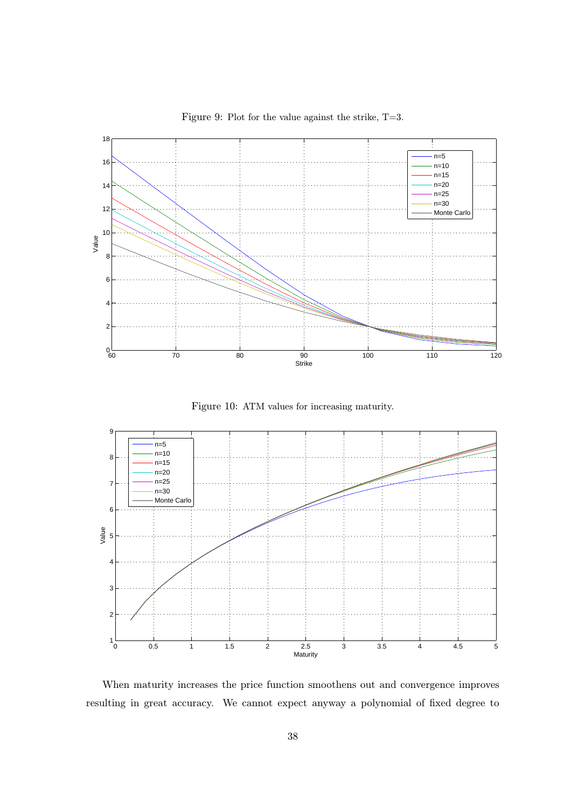

Figure 9: Plot for the value against the strike, T=3.

Figure 10: ATM values for increasing maturity.



When maturity increases the price function smoothens out and convergence improves resulting in great accuracy. We cannot expect anyway a polynomial of fixed degree to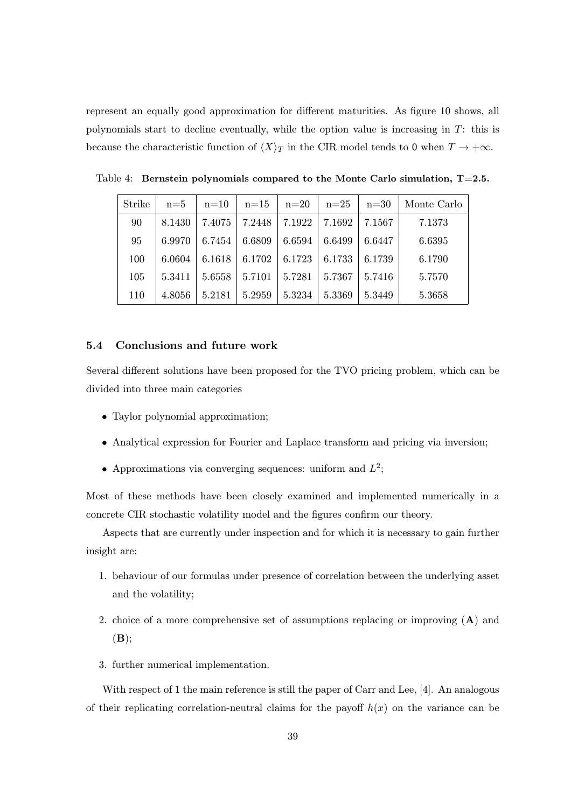represent an equally good approximation for different maturities. As figure 10 shows, all polynomials start to decline eventually, while the option value is increasing in T: this is because the characteristic function of  $\langle X \rangle_T$  in the CIR model tends to 0 when  $T \to +\infty$ .

| Strike | $n=5$  | $n=10$ | $n=15$ | $n=20$ | $n=25$ | $n=30$ | Monte Carlo |
|--------|--------|--------|--------|--------|--------|--------|-------------|
| 90     | 8.1430 | 7.4075 | 7.2448 | 7.1922 | 7.1692 | 7.1567 | 7.1373      |
| 95     | 6.9970 | 6.7454 | 6.6809 | 6.6594 | 6.6499 | 6.6447 | 6.6395      |
| 100    | 6.0604 | 6.1618 | 6.1702 | 6.1723 | 6.1733 | 6.1739 | 6.1790      |
| 105    | 5.3411 | 5.6558 | 5.7101 | 5.7281 | 5.7367 | 5.7416 | 5.7570      |
| 110    | 4.8056 | 5.2181 | 5.2959 | 5.3234 | 5.3369 | 5.3449 | 5.3658      |

Table 4: Bernstein polynomials compared to the Monte Carlo simulation,  $T=2.5$ .

## 5.4 Conclusions and future work

Several different solutions have been proposed for the TVO pricing problem, which can be divided into three main categories

- Taylor polynomial approximation;
- Analytical expression for Fourier and Laplace transform and pricing via inversion;
- Approximations via converging sequences: uniform and  $L^2$ ;

Most of these methods have been closely examined and implemented numerically in a concrete CIR stochastic volatility model and the figures confirm our theory.

Aspects that are currently under inspection and for which it is necessary to gain further insight are:

- 1. behaviour of our formulas under presence of correlation between the underlying asset and the volatility;
- 2. choice of a more comprehensive set of assumptions replacing or improving  $(A)$  and  $(\mathbf{B})$ ;
- 3. further numerical implementation.

With respect of 1 the main reference is still the paper of Carr and Lee, [4]. An analogous of their replicating correlation-neutral claims for the payoff  $h(x)$  on the variance can be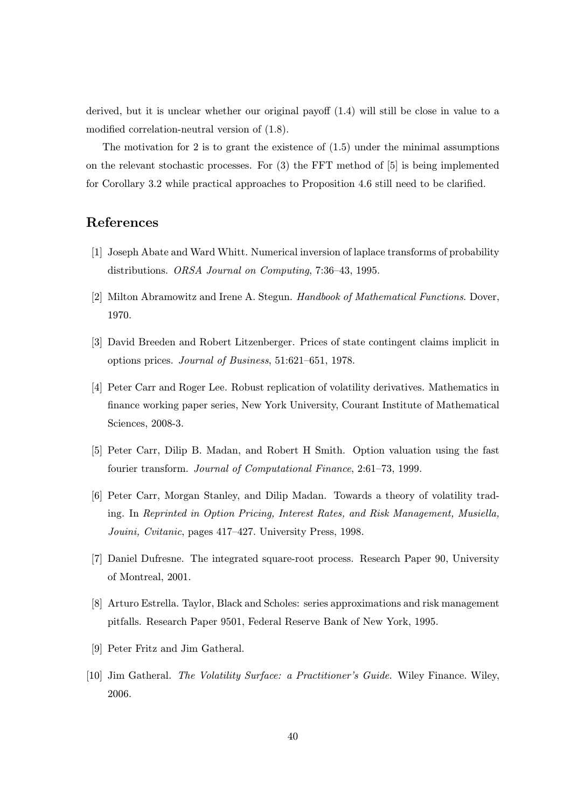derived, but it is unclear whether our original payoff (1.4) will still be close in value to a modified correlation-neutral version of (1.8).

The motivation for 2 is to grant the existence of  $(1.5)$  under the minimal assumptions on the relevant stochastic processes. For  $(3)$  the FFT method of  $[5]$  is being implemented for Corollary 3.2 while practical approaches to Proposition 4.6 still need to be clarified.

## References

- [1] Joseph Abate and Ward Whitt. Numerical inversion of laplace transforms of probability distributions. ORSA Journal on Computing, 7:36–43, 1995.
- [2] Milton Abramowitz and Irene A. Stegun. Handbook of Mathematical Functions. Dover, 1970.
- [3] David Breeden and Robert Litzenberger. Prices of state contingent claims implicit in options prices. Journal of Business, 51:621–651, 1978.
- [4] Peter Carr and Roger Lee. Robust replication of volatility derivatives. Mathematics in finance working paper series, New York University, Courant Institute of Mathematical Sciences, 2008-3.
- [5] Peter Carr, Dilip B. Madan, and Robert H Smith. Option valuation using the fast fourier transform. Journal of Computational Finance, 2:61–73, 1999.
- [6] Peter Carr, Morgan Stanley, and Dilip Madan. Towards a theory of volatility trading. In Reprinted in Option Pricing, Interest Rates, and Risk Management, Musiella, Jouini, Cvitanic, pages 417–427. University Press, 1998.
- [7] Daniel Dufresne. The integrated square-root process. Research Paper 90, University of Montreal, 2001.
- [8] Arturo Estrella. Taylor, Black and Scholes: series approximations and risk management pitfalls. Research Paper 9501, Federal Reserve Bank of New York, 1995.
- [9] Peter Fritz and Jim Gatheral.
- [10] Jim Gatheral. The Volatility Surface: a Practitioner's Guide. Wiley Finance. Wiley, 2006.